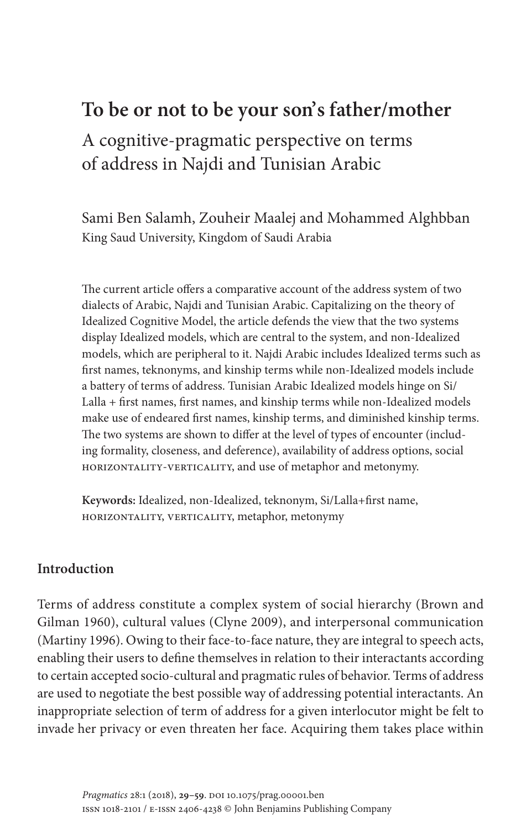# **To be or not to be your son's father/mother**

A cognitive-pragmatic perspective on terms of address in Najdi and Tunisian Arabic

Sami Ben Salamh, Zouheir Maalej and Mohammed Alghbban King Saud University, Kingdom of Saudi Arabia

The current article offers a comparative account of the address system of two dialects of Arabic, Najdi and Tunisian Arabic. Capitalizing on the theory of Idealized Cognitive Model, the article defends the view that the two systems display Idealized models, which are central to the system, and non-Idealized models, which are peripheral to it. Najdi Arabic includes Idealized terms such as first names, teknonyms, and kinship terms while non-Idealized models include a battery of terms of address. Tunisian Arabic Idealized models hinge on Si/ Lalla + first names, first names, and kinship terms while non-Idealized models make use of endeared first names, kinship terms, and diminished kinship terms. The two systems are shown to differ at the level of types of encounter (including formality, closeness, and deference), availability of address options, social horizontality-verticality, and use of metaphor and metonymy.

**Keywords:** Idealized, non-Idealized, teknonym, Si/Lalla+first name, horizontality, verticality, metaphor, metonymy

## **[Introd](#page-28-0)uction**

[Terms o](#page-29-0)f address constitute a complex system of social hierarchy (Brown and Gilman 1960), cultural values (Clyne 2009), and interpersonal communication (Martiny 1996). Owing to their face-to-face nature, they are integral to speech acts, enabling their users to define themselves in relation to their interactants according to certain accepted socio-cultural and pragmatic rules of behavior. Terms of address are used to negotiate the best possible way of addressing potential interactants. An inappropriate selection of term of address for a given interlocutor might be felt to invade her privacy or even threaten her face. Acquiring them takes place within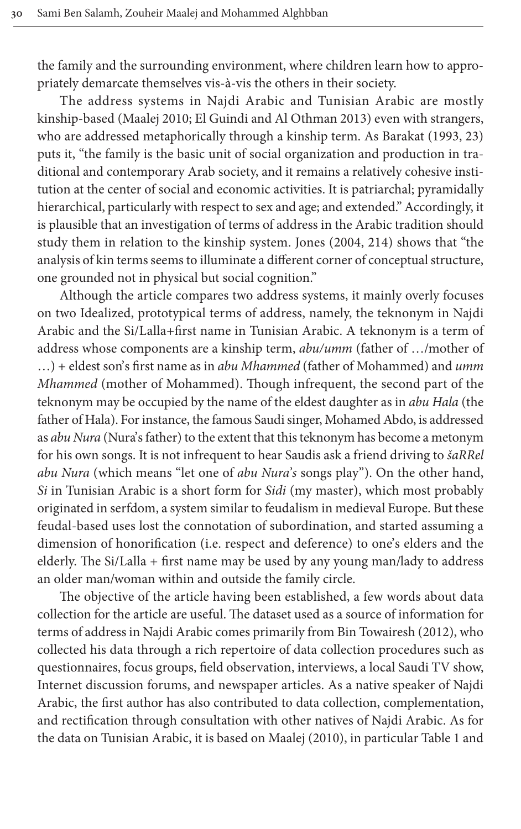the fami[ly and the su](#page-29-1)[rrounding environment, where c](#page-28-1)hildren learn how to appropriately demarcate themselves vis-à-vis the others in their society.

The address systems in Najdi Arabic and Tunisian Ar[abic a](#page-28-2)re mostly kinship-based (Maalej 2010; El Guindi and Al Othman 2013) even with strangers, who are addressed metaphorically through a kinship term. As Barakat (1993, 23) puts it, "the family is the basic unit of social organization and production in traditional and contemporary Arab society, and it remains a relatively cohesive institution at the center of social and economic acti[vities.](#page-28-3) It is patriarchal; pyramidally hierarchical, particularly with respect to sex and age; and extended." Accordingly, it is plausible that an investigation of terms of address in the Arabic tradition should study them in relation to the kinship system. Jones (2004, 214) shows that "the analysis of kin terms seems to illuminate a different corner of conceptual structure, one grounded not in physical but social cognition."

Although the article compares two address systems, it mainly overly focuses on two Idealized, prototypical terms of address, namely, the teknonym in Najdi Arabic and the Si/Lalla+first name in Tunisian Arabic. A teknonym is a term of address whose components are a kinship term, *abu/umm* (father of …/mother of …) + eldest son's first name as in *abu Mhammed* (father of Mohammed) and *umm Mhammed* (mother of Mohammed). Though infrequent, the second part of the teknonym may be occupied by the name of the eldest daughter as in *abu Hala* (the father of Hala). For instance, the famous Saudi singer, Mohamed Abdo, is addressed as *abu Nura* (Nura's father) to the extent that this teknonym has become a metonym for his own songs. It is not infrequent to hear Saudis ask a friend driving to *šaRRel abu Nura* (which means "let one of *abu Nura's* songs play"). On the other hand, *Si* in Tunisian Arabic is a short form for *Sidi* (my master), which most probably originated in serfdom, a system similar to feudalism in medieval Europe. But these feudal-based uses lost the connotation of subordination, and started assuming a dimension of honorification (i.e. respect and deference) to one's elders and the elderly. The Si/Lalla + first name may be used by any young man/lady to address an older man/woman within and outside the fa[mily circle.](#page-28-4)

The objective of the article having been established, a few words about data collection for the article are useful. The dataset used as a source of information for terms of address in Najdi Arabic comes primarily from Bin Towairesh (2012), who collected his data through a rich repertoire of data collection procedures such as questionnaires, focus groups, field observation, interviews, a local Saudi TV show, Internet discussion forums, and n[ewspaper articl](#page-29-1)es. As a nativ[e speak](#page-8-0)er of Najdi Arabic, the first author has also contributed to data collection, complementation, and rectification through consultation with other natives of Najdi Arabic. As for the data on Tunisian Arabic, it is based on Maalej (2010), in particular Table 1 and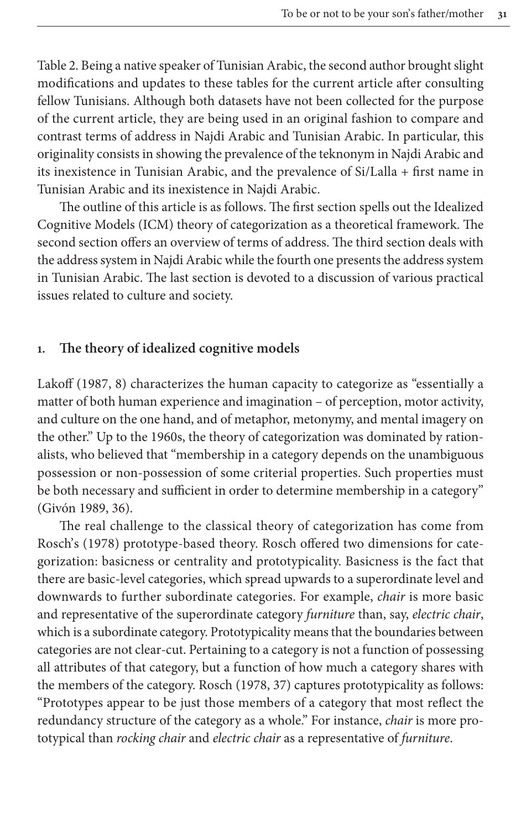Table 2. Being a native speaker of Tunisian Arabic, the second author brought slight modifications and updates to these tables for the current article after consulting fellow Tunisians. Although both datasets have not been collected for the purpose of the current article, they are being used in an original fashion to compare and contrast terms of address in Najdi Arabic and Tunisian Arabic. In particular, this originality consists in showing the prevalence of the teknonym in Najdi Arabic and its inexistence in Tunisian Arabic, and the prevalence of Si/Lalla + first name in Tunisian Arabic and its inexistence in Najdi Arabic.

The outline of this article is as follows. The first section spells out the Idealized Cognitive Models (ICM) theory of categorization as a theoretical framework. The second section offers an overview of terms of address. The third section deals with the address system in Najdi Arabic while the fourth one presents the address system in Tunisian Arabic. The last section is devoted to a discussion of various practical issues related to culture and society.

#### **1. [Th](#page-29-2)e theory of idealized cognitive models**

Lakoff (1987, 8) characterizes the human capacity to categorize as "essentially a matter of both human experience and imagination – of perception, motor activity, and culture on the one hand, and of metaphor, metonymy, and mental imagery on the other." Up to the 1960s, the theory of categorization was dominated by ration[alists,](#page-28-5) who believed that "membership in a category depends on the unambiguous possession or non-possession of some criterial properties. Such properties must [be both n](#page-29-3)ecessary and sufficient in order to determine membership in a category" (Givón 1989, 36).

The real challenge to the classical theory of categorization has come from Rosch's (1978) prototype-based theory. Rosch offered two dimensions for categorization: basicness or centrality and prototypicality. Basicness is the fact that there are basic-level categories, which spread upwards to a superordinate level and downwards to further subordinate categories. For example, *chair* is more basic and representative of the superordinate category *furniture* than, say, *electric chair*, which is a subordinate categor[y. Pro](#page-29-3)totypicality means that the boundaries between categories are not clear-cut. Pertaining to a category is not a function of possessing all attributes of that category, but a function of how much a category shares with the members of the category. Rosch (1978, 37) captures prototypicality as follows: "Prototypes appear to be just those members of a category that most reflect the redundancy structure of the category as a whole." For instance, *chair* is more prototypical than *rocking chair* and *electric chair* as a representative of *furniture*.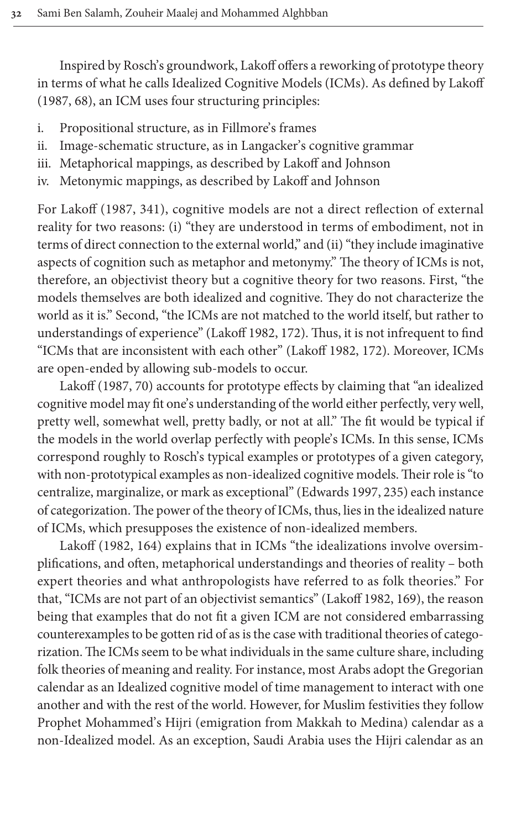Inspired by Rosch's groundwork, Lakoff offers a reworking of prototype theory in terms of what he calls Idealized Cognitive Models (ICMs). As defined by Lakoff (1987, 68), an ICM uses four structuring principles:

- i. Propositional structure, as in Fillmore's frames
- ii. Image-schematic structure, as in Langacker's cognitive grammar
- iii. [Metaph](#page-29-2)orical mappings, as described by Lakoff and Johnson
- iv. Metonymic mappings, as described by Lakoff and Johnson

For Lakoff (1987, 341), cognitive models are not a direct reflection of external reality for two reasons: (i) "they are understood in terms of embodiment, not in terms of direct connection to the external world," and (ii) "they include imaginative aspects of cognition such as metaphor and metonymy." The theory of ICMs is not, therefore, an objectivist [theory but a](#page-29-4) cognitive theory for two reasons. First, "the models themselves are both idealized a[nd cognitive](#page-29-4). They do not characterize the world as it is." Second, "the ICMs are not matched to the world itself, but rather to unde[rstan](#page-29-2)dings of experience" (Lakoff 1982, 172). Thus, it is not infrequent to find "ICMs that are inconsistent with each other" (Lakoff 1982, 172). Moreover, ICMs are open-ended by allowing sub-models to occur.

Lakoff (1987, 70) accounts for prototype effects by claiming that "an idealized cognitive model may fit one's understanding of the world either perfectly, very well, pretty well, somewhat well, pretty badly, or not at all." The fit would be typical if the models in the world overlap perfectly with people's ICMs. In this sense, ICMs correspond roughly to Rosch's typical examples or prototypes of a given category, with non-prototypical examples as non-idealized cognitive models. Their role is "to centr[alize,](#page-29-4) marginalize, or mark as exceptional" (Edwards 1997, 235) each instance of categorization. The power of the theory of ICMs, thus, lies in the idealized nature of ICMs, which presupposes the existence of non-idealized members.

Lakoff (1982, 164) explains that in ICMs ["the idealiza](#page-29-4)tions involve oversimplifications, and often, metaphorical understandings and theories of reality – both expert theories and what anthropologists have referred to as folk theories." For that, "ICMs are not part of an objectivist semantics" (Lakoff 1982, 169), the reason being that examples that do not fit a given ICM are not considered embarrassing counterexamples to be gotten rid of as is the case with traditional theories of categorization. The ICMs seem to be what individuals in the same culture share, including folk theories of meaning and reality. For instance, most Arabs adopt the Gregorian calendar as an Idealized cognitive model of time management to interact with one another and with the rest of the world. However, for Muslim festivities they follow Prophet Mohammed's Hijri (emigration from Makkah to Medina) calendar as a non-Idealized model. As an exception, Saudi Arabia uses the Hijri calendar as an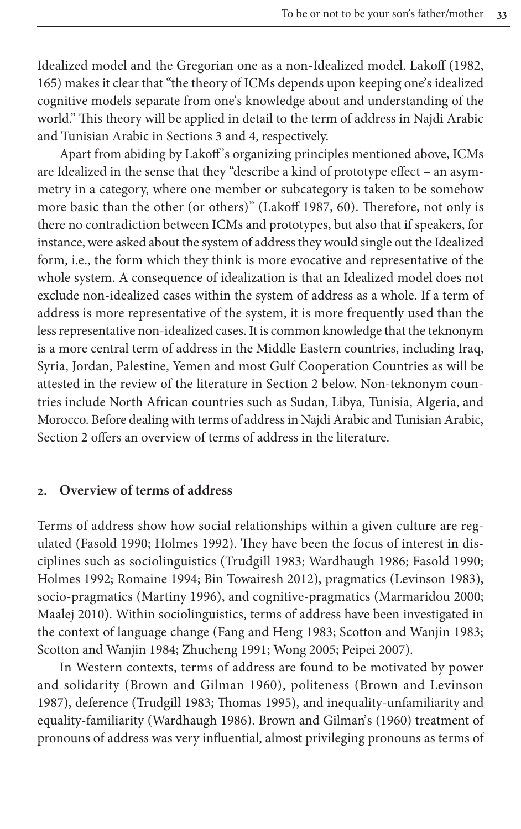Idealized model and the Gregorian one as a non-Idealized model. Lakoff (1982, 165) makes it cle[ar that "the](#page-8-1) the[or](#page-17-0)y of ICMs depends upon keeping one's idealized cognitive models separate from one's knowledge about and understanding of the world." This theory will be applied in detail to the term of address in Najdi Arabic and Tunisian Arabic in Sections 3 and 4, respectively.

Apart from abiding by Lakoff '[s organizing](#page-29-2) principles mentioned above, ICMs are Idealized in the sense that they "describe a kind of prototype effect – an asymmetry in a category, where one member or subcategory is taken to be somehow more basic than the other (or others)" (Lakoff 1987, 60). Therefore, not only is there no contradiction between ICMs and prototypes, but also that if speakers, for instance, were asked about the system of address they would single out the Idealized form, i.e., the form which they think is more evocative and representative of the whole system. A consequence of idealization is that an Idealized model does not exclude non-idealized cases within the system of address as a whole. If a term of address is more representative of the system, it is more frequently used than the less representative non-idealized ca[ses. It is co](#page-4-0)mmon knowledge that the teknonym is a more central term of address in the Middle Eastern countries, including Iraq, Syria, Jordan, Palestine, Yemen and most Gulf Cooperation Countries as will be [att](#page-4-0)ested in the review of the literature in Section 2 below. Non-teknonym countries include North African countries such as Sudan, Libya, Tunisia, Algeria, and Morocco. Before dealing with terms of address in Najdi Arabic and Tunisian Arabic, Section 2 offers an overview of terms of address in the literature.

#### <span id="page-4-0"></span>**2. [Overview](#page-28-6) [of terms of a](#page-28-7)ddress**

[Terms](#page-28-7) [of address show](#page-29-7) [how social relation](#page-28-4)[ships within a](#page-29-6) [given culture](#page-29-8) [a](#page-28-6)re regulated (Fas[old 1990; Holm](#page-29-0)es 1992). They have been t[he focus of interest](#page-29-9) in dis[ciplin](#page-29-1)es such as sociolinguistics (Trudgill 1983; Wardhaugh 1986; Fasold 1990; Holmes 1992; Romaine 1[994; Bin Towairesh 20](#page-28-8)[12\), pragmatics \(Levinson](#page-29-10) 1983), [socio-pragmatics \(](#page-29-11)[Martiny 1996\), a](#page-30-0)[nd cognitive](#page-29-12)[-pragmatics](#page-29-13) (Marmaridou 2000; Maalej 2010). Within sociolinguistics, terms of address have been investigated in the conte[xt of language change \(Fang](#page-28-0) and Heng 1983; Scotton and Wanjin 1983; Scotton an[d Wanjin 1984](#page-29-5); [Zhucheng 199](#page-29-14)1; Wong 2005; Peipei 2007).

In Wester[n contexts, terms](#page-29-6) [of address are found to be m](#page-28-0)otivated by power and solidarity (Brown and Gilman 1960), politeness (Brown and Levinson 1987), deference (Trudgill 1983; Thomas 1995), and inequality-unfamiliarity and equality-familiarity (Wardhaugh 1986). Brown and Gilman's (1960) treatment of pronouns of address was very influential, almost privileging pronouns as terms of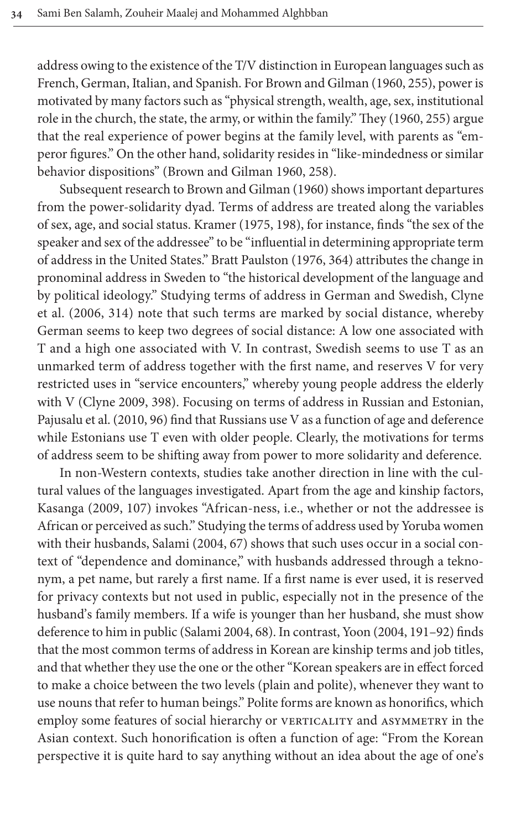address owing to the existence of the T/V distinction in Eur[opean](#page-28-0) languages such as French, German, Italian, and Spanish. For Brown and Gilman (1960, 255), power is motivated by many factors such as "physical strength, wealth, age, sex, institutional role in the churc[h, the state, the army, or w](#page-28-0)ithin the family." They (1960, 255) argue that the real experie[nce of power begins at the](#page-28-0) family level, with parents as "emperor figures." On the other hand, solidarity resides in "like-mindedness or similar behavior dispositions" (Brown [and G](#page-29-15)ilman 1960, 258).

Subsequent research to Brown and Gilman (1960) shows important departures from the power-solidarity dyad. Terms [of add](#page-28-9)ress are treated along the variables of sex, age, and social status. Kramer (1975, 198), for instance, finds "the sex of the speaker and sex of the addressee" to be "influential in determining appropriate term [of ad](#page-28-10)dress in the United States." Bratt Paulston (1976, 364) attributes the change in pronominal address in Sweden to "the historical development of the language and by political ideology." Studying terms of address in German and Swedish, Clyne et al. (2006, 314) note that such terms are marked by social distance, whereby German seems to keep two degrees of social distance: A low one associated with [T and a high](#page-28-11) one associated with V. In contrast, Swedish seems to use T as an unmar[ked te](#page-29-16)rm of address together with the first name, and reserves V for very restricted uses in "service encounters," whereby young people address the elderly with V (Clyne 2009, 398). Focusing on terms of address in Russian and Estonian, Pajusalu et al. (2010, 96) find that Russians use V as a function of age and deference while Estonians use T even with older people. Clearly, the motivations for terms of [addre](#page-28-12)ss seem to be shifting away from power to more solidarity and deference.

In non-Western contexts, studies take another direction in line with the cultural values of the lan[guage](#page-28-3)s investigated. Apart from the age and kinship factors, Kasanga (2009, 107) invokes "African-ness, i.e., whether or not the addressee is African or perceived as such." Studying the terms of address used by Yoruba women with their husbands, Salami (2004, 67) shows that such uses occur in a social context of "dependence and dominance," with husbands addressed through a teknonym, a pet name, b[ut rarely a fir](#page-29-17)st name. If a first name [is ev](#page-28-3)er used, it is reserved for privacy contexts but not used in public, especially not in the presence of the husband's family members. If a wife is younger than her husband, she must show deference to him in public (Salami 2004, 68). In contrast, Yoon (2004, 191–92) finds that the most common terms of address in Korean are kinship terms and job titles, and that whether they use the one or the other "Korean speakers are in effect forced to make a choice between the two levels (plain and polite), whenever they want to use nouns that refer to human beings." Polite forms are known as honorifics, which employ some features of social hierarchy or VERTICALITY and ASYMMETRY in the Asian context. Such honorification is often a function of age: "From the Korean perspective it is quite hard to say anything without an idea about the age of one's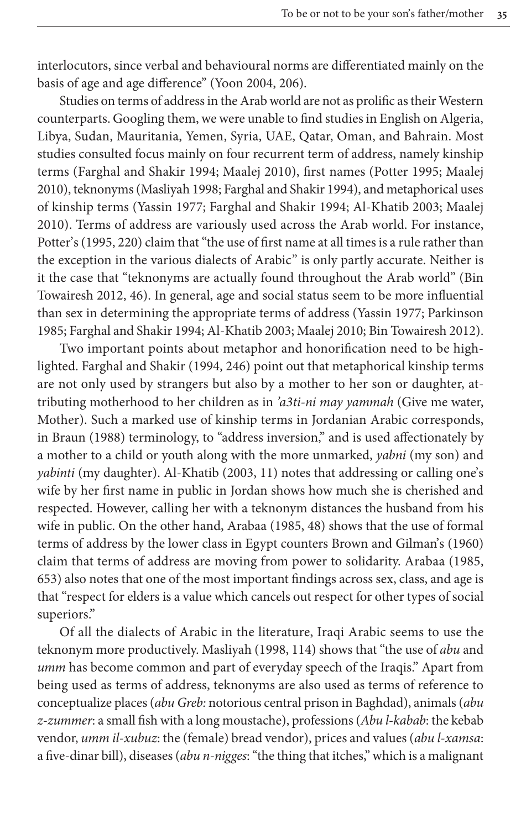interlocutors, since verbal and behavioural norms are differentiated mainly on the basis of age and age difference" (Yoon 2004, 206).

Studies on terms of address in the Arab world are not as prolific as their Western [counterparts. Googling th](#page-28-13)em, we were unable to find st[udies in Eng](#page-29-18)lish on Algeria, Libya, Suda[n, Mauritania,](#page-29-19) [Yemen, Syria, UAE, Qat](#page-28-13)ar, Oman, and Bahrain. Most studies con[sulted focus](#page-30-1) [mainly on four recurrent t](#page-28-13)[erm of address, n](#page-27-0)amely kinship terms (Farghal and Shakir 1994; Maalej 2010), first names (Potter 1995; Maalej 2[010\), t](#page-29-18)eknonyms (Masliyah 1998; Farghal and Shakir 1994), and metaphorical uses of kinship terms (Yassin 1977; Farghal and Shakir 1994; Al-Khatib 2003; Maalej 2010). Terms of address are variously used across the Arab world. Fo[r ins](#page-28-4)tance, [Potter's \(1](#page-28-4)995, 220) claim that "the use of first name at all times is a rule rather than the exception in the various dialects of Arabic" is [only partly ac](#page-30-1)[curate. Nei](#page-29-20)ther is [it the case that "teknon](#page-28-13)[yms are actually](#page-27-0) [found throu](#page-29-1)[ghout the Arab wor](#page-28-4)ld" (Bin Towairesh 2012, 46). In general, age and social status seem to be more influential than sex in determini[ng th](#page-28-13)e appropriate terms of address (Yassin 1977; Parkinson 1985; Farghal and Shakir 1994; Al-Khatib 2003; Maalej 2010; Bin Towairesh 2012).

Two important points about metaphor and honorification need to be highlighted. Farghal and Shakir (1994, 246) point out that metaphorical kinship terms [are not o](#page-28-14)nly used by strangers but also by a mother to her son or daughter, attributing motherhood to her children as in *'a3ti-ni may yammah* (Give me water, Mother). Such a marked u[se of k](#page-27-0)inship terms in Jordanian Arabic corresponds, in Braun (1988) terminology, to "address inversion," and is used affectionately by a mother to a child or youth along with the more unmarked, *yabni* (my son) and *yabinti* (my daughter). Al-Khatib (2[003, 1](#page-28-15)1) notes that addressing or calling one's wife by her first name in public in Jordan sho[ws how much she is cherishe](#page-28-0)d and respected. However, calling her with a teknonym distances the husb[and fr](#page-28-15)om his wife in public. On the other hand, Arabaa (1985, 48) shows that the use of formal terms of address by the lower class in Egypt counters Brown and Gilman's (1960) claim that terms of address are moving from power to solidarity. Arabaa (1985, 653) also notes that one of the most important findings across sex, class, and age is that "respect for elders is a value [which](#page-29-19) cancels out respect for other types of social superiors."

Of all the dialects of Arabic in the literature, Iraqi Arabic seems to use the teknonym more productively. Masliyah (1998, 114) shows that "the use of *abu* and *umm* has become common and part of everyday speech of the Iraqis." Apart from being used as terms of address, teknonyms are also used as terms of reference to conceptualize places (*abu Greb:* notorious central prison in Baghdad), animals (*abu z-zummer*: a small fish with a long moustache), professions (*Abu l-kabab*: the kebab vendor, *umm il-xubuz*: the (female) bread vendor), prices and values (*abu l-xamsa*: a five-dinar bill), diseases (*abu n-nigges*: "the thing that itches," which is a malignant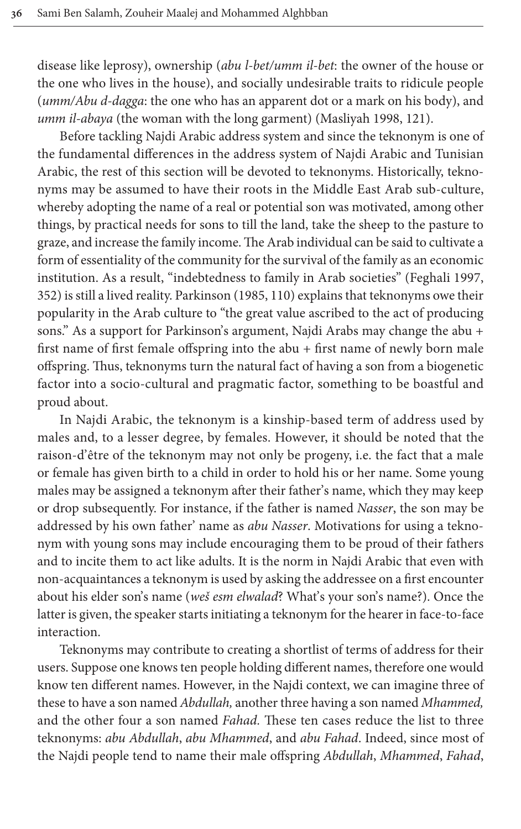disease like leprosy), ownership (*abu l-bet/u[mm il-bet](#page-29-19)*: the owner of the house or the one who lives in the house), and socially undesirable traits to ridicule people (*umm/Abu d-dagga*: the one who has an apparent dot or a mark on his body), and *umm il-abaya* (the woman with the long garment) (Masliyah 1998, 121).

Before tackling Najdi Arabic address system and since the teknonym is one of the fundamental differences in the address system of Najdi Arabic and Tunisian Arabic, the rest of this section will be devoted to teknonyms. Historically, teknonyms may be assumed to have their roots in the Middle East Arab sub-culture, whereby adopting the name of a real or potential son was motivated, among other things, by practical needs for sons to till the land, take the sh[eep to the pas](#page-28-16)ture to graze, and increase the family income. The Arab individual can be said to cultivate a form of essentiality of the community for the survival of the family as an economic institution. As a result, "indebtedness to family in Arab societies" (Feghali 1997, 352) is still a lived reality. Parkinson (1985, 110) explains that teknonyms owe their popularity in the Arab culture to "the great value ascribed to the act of producing sons." As a support for Parkinson's argument, Najdi Arabs may change the abu + first name of first female offspring into the abu + first name of newly born male offspring. Thus, teknonyms turn the natural fact of having a son from a biogenetic factor into a socio-cultural and pragmatic factor, something to be boastful and proud about.

In Najdi Arabic, the teknonym is a kinship-based term of address used by males and, to a lesser degree, by females. However, it should be noted that the raison-d'être of the teknonym may not only be progeny, i.e. the fact that a male or female has given birth to a child in order to hold his or her name. Some young males may be assigned a teknonym after their father's name, which they may keep or drop subsequently. For instance, if the father is named *Nasser*, the son may be addressed by his own father' name as *abu Nasser*. Motivations for using a teknonym with young sons may include encouraging them to be proud of their fathers and to incite them to act like adults. It is the norm in Najdi Arabic that even with non-acquaintances a teknonym is used by asking the addressee on a first encounter about his elder son's name (*weš esm elwalad*? What's your son's name?). Once the latter is given, the speaker starts initiating a teknonym for the hearer in face-to-face interaction.

Teknonyms may contribute to creating a shortlist of terms of address for their users. Suppose one knows ten people holding different names, therefore one would know ten different names. However, in the Najdi context, we can imagine three of these to have a son named *Abdullah,* another three having a son named *Mhammed,* and the other four a son named *Fahad.* These ten cases reduce the list to three teknonyms: *abu Abdullah*, *abu Mhammed*, and *abu Fahad*. Indeed, since most of the Najdi people tend to name their male offspring *Abdullah*, *Mhammed*, *Fahad*,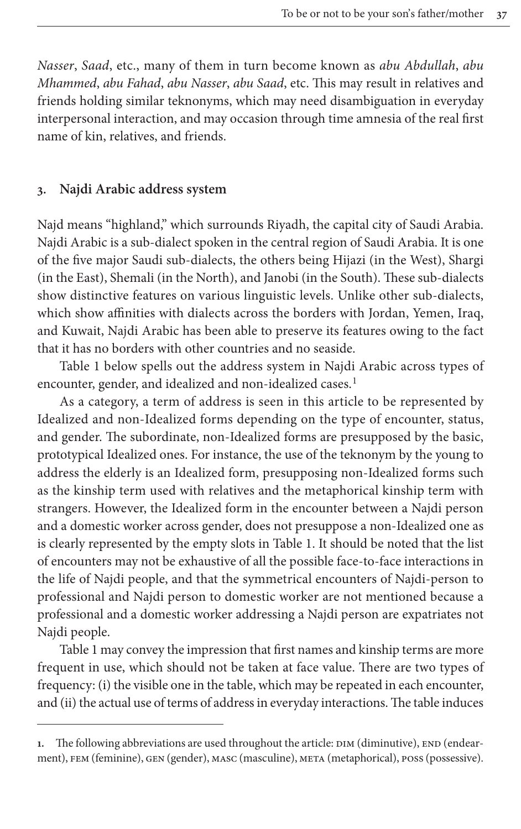*Nasser*, *Saad*, etc., many of them in turn become known as *abu Abdullah*, *abu Mhammed*, *abu Fahad*, *abu Nasser*, *abu Saad*, etc. This may result in relatives and friends holding similar teknonyms, which may need disambiguation in everyday interpersonal interaction, and may occasion through time amnesia of the real first name of kin, relatives, and friends.

#### <span id="page-8-1"></span>**3. Najdi Arabic address system**

Najd means "highland," which surrounds Riyadh, the capital city of Saudi Arabia. Najdi Arabic is a sub-dialect spoken in the central region of Saudi Arabia. It is one of the five major Saudi sub-dialects, the others being Hijazi (in the West), Shargi (in the East), Shemali (in the North), and Janobi (in the South). These sub-dialects show distinctive features on various linguistic levels. Unlike other sub-dialects, [whic](#page-8-0)h show affinities with dialects across the borders with Jordan, Yemen, Iraq, and Kuwait, Najdi Arabic has been able to preser[ve](#page-8-2) its features owing to the fact that it has no borders with other countries and no seaside.

<span id="page-8-0"></span>Table 1 below spells out the address system in Najdi Arabic across types of encounter, gender, and idealized and non-idealized cases.<sup>1</sup>

As a category, a term of address is seen in this article to be represented by Idealized and non-Idealized forms depending on the type of encounter, status, and gender. The subordinate, non-Idealized forms are presupposed by the basic, prototypical Idealized ones. For instance, the use of the teknonym by the young to address the elderly is an Idealized form, presupposing non-Idealized forms such as the kinship term used with relat[ives and](#page-8-0) the metaphorical kinship term with strangers. However, the Idealized form in the encounter between a Najdi person and a domestic worker across gender, does not presuppose a non-Idealized one as is clearly represented by the empty slots in Table 1. It should be noted that the list of encounters may not be exhaustive of all the possible face-to-face interactions in the life of Najdi people, and that the symmetrical encounters of Najdi-person to [profe](#page-8-0)ssional and Najdi person to domestic worker are not mentioned because a professional and a domestic worker addressing a Najdi person are expatriates not Najdi people.

<span id="page-8-2"></span>Table 1 may convey the impression that first names and kinship terms are more frequent in use, which should not be taken at face value. There are two types of frequency: (i) the visible one in the table, which may be repeated in each encounter, and (ii) the actual use of terms of address in everyday interactions. The table induces

<sup>1.</sup> The following abbreviations are used throughout the article: DIM (diminutive), END (endearment), fem (feminine), gen (gender), masc (masculine), meta (metaphorical), poss (possessive).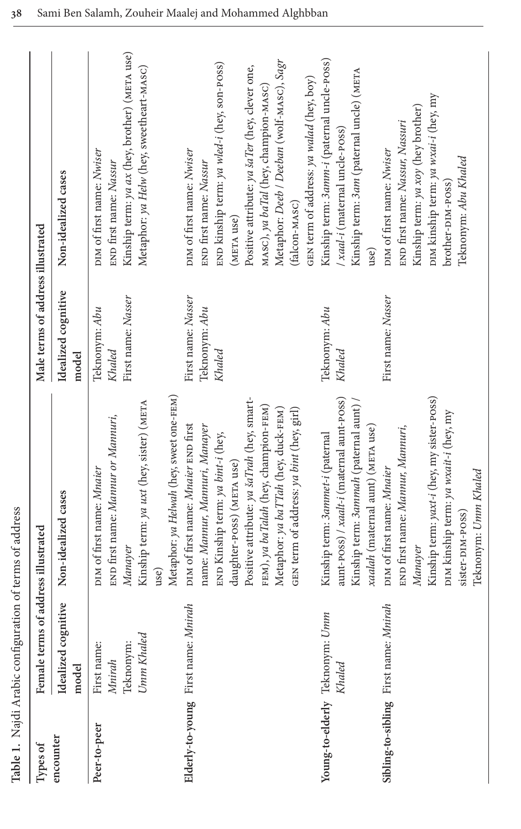|                                | Table 1. Najdi Arabic configuration of terms of address |                                                                                                                                                                                                                                                                                                                  |                                               |                                                                                                                                                                                                                                                                                                                      |
|--------------------------------|---------------------------------------------------------|------------------------------------------------------------------------------------------------------------------------------------------------------------------------------------------------------------------------------------------------------------------------------------------------------------------|-----------------------------------------------|----------------------------------------------------------------------------------------------------------------------------------------------------------------------------------------------------------------------------------------------------------------------------------------------------------------------|
| Types of                       | Female terms of address illustrated                     |                                                                                                                                                                                                                                                                                                                  | Male terms of address illustrated             |                                                                                                                                                                                                                                                                                                                      |
| encounter                      | Idealized cognitive<br>model                            | Non-idealized cases                                                                                                                                                                                                                                                                                              | Idealized cognitive<br>model                  | Non-idealized cases                                                                                                                                                                                                                                                                                                  |
| Peer-to-peer                   | Umm Khaled<br>Teknonym:<br>First name:<br><b>Mnirah</b> | Metaphor: ya Helwah (hey, sweet one-FEM)<br>Kinship term: ya uxt (hey, sister) (META<br>END first name: Mannur or Mannuri,<br>DIM of first name: Mnaier<br>Manayer<br>use)                                                                                                                                       | First name: Nasser<br>Teknonym: Abu<br>Khaled | Kinship term: ya ax (hey, brother) (META use)<br>Metaphor: ya Helw (hey, sweetheart-MASC)<br>DIM of first name: Nwiser<br>END first name: Nassur                                                                                                                                                                     |
| Elderly-to-young First name:   | Mnirah                                                  | Positive attribute: ya šaTrah (hey, smart-<br>FEM), ya baTalah (hey, champion-FEM)<br>Metaphor: ya baTTah (hey, duck-FEM)<br>GEN term of address: ya bint (hey, girl)<br>DIM of first name: Mnaier END first<br>name: Mannur, Mannuri, Manayer<br>END Kinship term: ya bint-i (hey,<br>daughter-poss) (META use) | First name: Nasser<br>Teknonym: Abu<br>Khaled | Metaphor: Deeb / Deeban (wolf-MASC), Sagr<br>END kinship term: ya wled-i (hey, son-poss)<br>Positive attribute: ya šaTer (hey, clever one,<br>GEN term of address: ya walad (hey, boy)<br>MASC), ya baTal (hey, champion-MASC)<br>DIM of first name: Nwiser<br>END first name: Nassur<br>(falcon-MASC)<br>(META use) |
| Young-to-elderly Teknonym:     | Umm<br>Khaled                                           | aunt-poss) / xaalt-i (maternal aunt-poss)<br>Kinship term: 3ammah (paternal aunt) /<br>xaalah (maternal aunt) (META use)<br>Kinship term: 3ammet-i (paternal                                                                                                                                                     | Teknonym: Abu<br>Khaled                       | Kinship term: 3amm-i (paternal uncle-POSS)<br>Kinship term: 3am (paternal uncle) (META<br>/ xaal-i (maternal uncle-poss)<br>use)                                                                                                                                                                                     |
| Sibling-to-sibling First name: | Mnirah                                                  | Kinship term: yaxt-i (hey, my sister-poss)<br>DIM kinship term: ya wxait-i (hey, my<br>END first name: Mannur, Mannuri,<br>DIM of first name: Mnaier<br>Teknonym: Umm Khaled<br>sister-DIM-POSS)<br>Manayer                                                                                                      | First name: Nasser                            | DIM kinship term: ya wxai-i (hey, my<br>Kinship term: ya xoy (hey brother)<br>END first name: Nassur, Nassuri<br>DIM of first name: Nwiser<br>Teknonym: Abu Khaled<br>brother-DIM-POSS)                                                                                                                              |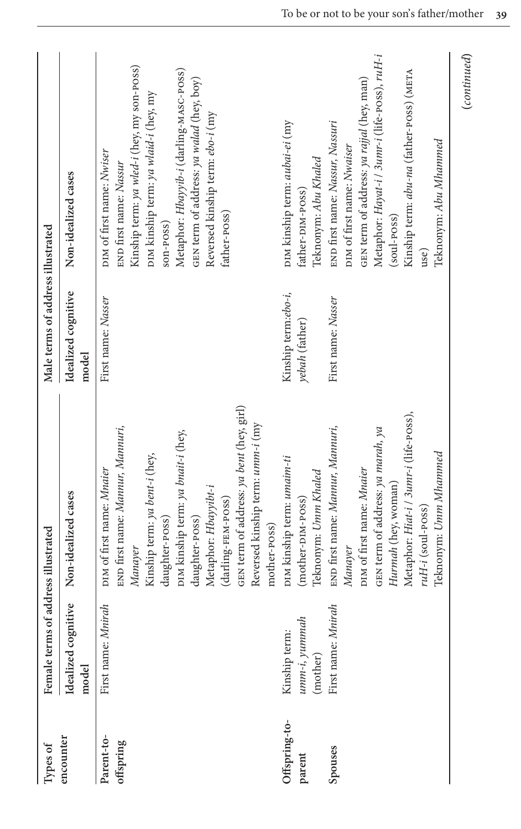| Types of                | Female terms                                 | of address illustrated                                                                                                                                                                                                                                                                                                            | Male terms of address illustrated     |                                                                                                                                                                                                                                                                                                    |
|-------------------------|----------------------------------------------|-----------------------------------------------------------------------------------------------------------------------------------------------------------------------------------------------------------------------------------------------------------------------------------------------------------------------------------|---------------------------------------|----------------------------------------------------------------------------------------------------------------------------------------------------------------------------------------------------------------------------------------------------------------------------------------------------|
| encounter               | Idealized cognitive<br>model                 | Non-idealized cases                                                                                                                                                                                                                                                                                                               | Idealized cognitive<br>model          | Non-idealized cases                                                                                                                                                                                                                                                                                |
| Parent-to-<br>offspring | First name: Mnirah                           | GEN term of address: ya bent (hey, girl)<br>Reversed kinship term: umm-i (my<br>END first name: Mannur, Mannuri,<br>DIM kinship term: ya bnait-i (hey,<br>Kinship term: ya bent-i (hey,<br>DIM of first name: Mnaier<br>Metaphor: Hbayyibt-i<br>(darling-FEM-POSS)<br>daughter-POSS)<br>daughter-poss)<br>mother-poss)<br>Manayer | First name: Nasser                    | Kinship term: ya wled-i (hey, my son-poss)<br>Metaphor: Hbayyib-i (darling-MASC-POSS)<br>GEN term of address: ya walad (hey, boy)<br>DIM kinship term: ya wlaid-i (hey, my<br>Reversed kinship term: ebo-i (my<br>DIM of first name: Nwiser<br>END first name: Nassur<br>father-poss)<br>son-poss) |
| Offspring-to-<br>parent | $umm-i, yummah$<br>Kinship term:<br>(mother) | DIM kinship term: umaim-ti<br>Teknonym: Umm Khaled<br>(mother-DIM-POSS)                                                                                                                                                                                                                                                           | Kinship term:ebo-i,<br>yebah (father) | DIM kinship term: aubai-ei (my<br>Teknonym: Abu Khaled<br>father-DIM-POSS)                                                                                                                                                                                                                         |
| Spouses                 | First name: Mnirah                           | Metaphor: Hiat-i / 3umr-i (life-poss),<br>END first name: Mannur, Mannuri,<br>GEN term of address: ya marah, ya<br>Teknonym: Umm Mhammed<br>DIM of first name: Mnaier<br>Hurmah (hey, woman)<br>ruH-i (soul-poss)<br>Manayer                                                                                                      | First name: Nasser                    | Metaphor: Hayat-i / 3umr-i (life-poss), ruH-i<br>Kinship term: abu-na (father-poss) (META<br>GEN term of address: ya rajjal (hey, man)<br>END first name: Nassur, Nassuri<br>Teknonym: Abu Mhammed<br>DIM of first name: Nwaiser<br>(soul-poss)<br>use)                                            |

**(***continued***)**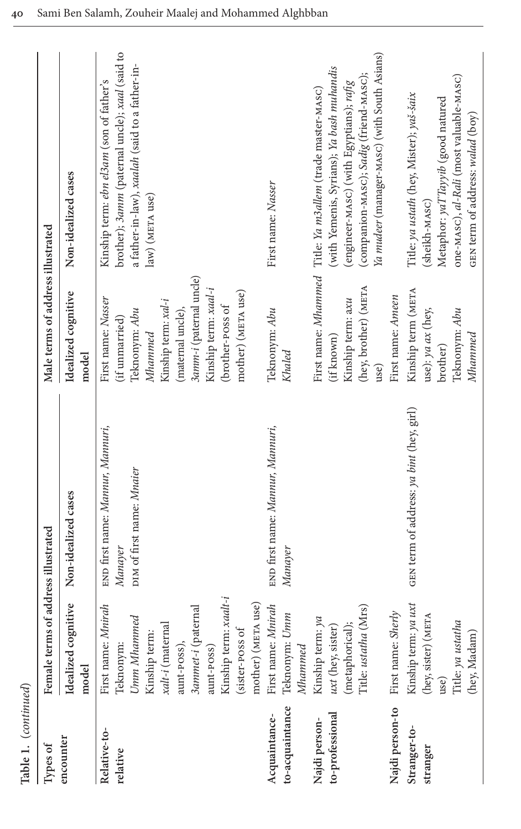| Table 1. (continued)                        |                                                                                                                                                                                                         |                                                                          |                                                                                                                                                                                                           |                                                                                                                                                                                                                                             |
|---------------------------------------------|---------------------------------------------------------------------------------------------------------------------------------------------------------------------------------------------------------|--------------------------------------------------------------------------|-----------------------------------------------------------------------------------------------------------------------------------------------------------------------------------------------------------|---------------------------------------------------------------------------------------------------------------------------------------------------------------------------------------------------------------------------------------------|
| Types of                                    | Female term                                                                                                                                                                                             | s of address illustrated                                                 | Male terms of address illustrated                                                                                                                                                                         |                                                                                                                                                                                                                                             |
| encounter                                   | Idealized cognitive<br>model                                                                                                                                                                            | Non-idealized cases                                                      | Idealized cognitive<br>model                                                                                                                                                                              | Non-idealized cases                                                                                                                                                                                                                         |
| Relative-to-<br>relative                    | Kinship term: xaalt-i<br>mother) (META use)<br>First name: Mnirah<br>3ammet-i (paternal<br>Umm Mhammed<br>xalt-i (maternal<br>(sister-poss of<br>Kinship term<br>Teknonym:<br>aunt-poss),<br>aunt-poss) | END first name: Mannur, Mannuri,<br>DIM of first name: Mnaier<br>Manayer | 3amm-i (paternal uncle)<br>Kinship term: xaal-i<br>mother) (META use)<br>First name: Nasser<br>Kinship term: xal-i<br>(brother-poss of<br>Teknonym: Abu<br>(maternal uncle),<br>(if unmarried)<br>Mhammed | brother); 3amm (paternal uncle); xaal (said to<br>a father-in-law), xaalah (said to a father-in-<br>Kinship term: ebn el3am (son of father's<br>law) (META use)                                                                             |
| to-acquaintance<br>Acquaintance-            | First name: Mnirah<br>Teknonym: Umm<br>Mhammed                                                                                                                                                          | END first name: Mannur, Mannuri,<br>Manayer                              | Teknonym: Abu<br>Khaled                                                                                                                                                                                   | First name: Nasser                                                                                                                                                                                                                          |
| to-professional<br>Najdi person-            | Title: ustatha (Mrs)<br>Kinship term: ya<br>(metaphorical);<br>$uxt$ (hey, sister)                                                                                                                      |                                                                          | (hey, brother) (META<br>Kinship term: axu<br>(if known)<br>use)                                                                                                                                           | Ya mudeer (manager-MASC) (with South Asians)<br>(with Yemenis, Syrians); Ya bash muhandis<br>(companion-MASC); Sadig (friend-MASC);<br>(engineer-MASC) (with Egyptians); rafig<br>First name: Mhammed Title: Ya m3allem (trade master-MASC) |
| Najdi person-to<br>Stranger-to-<br>stranger | Kinship term: ya uxt<br>First name: Sherly<br>(hey, sister) (META<br>Title: ya ustatha<br>(hey, Madam)<br>use)                                                                                          | GEN term of address: ya bint (hey, girl)                                 | Kinship term (META<br>First name: Ameen<br>use): ya ax (hey,<br>Teknonym: Abu<br>Mhammed<br>brother)                                                                                                      | one-мASC), al-Rali (most valuable-мASC)<br>Title: ya ustath (hey, Mister); yaš-šaix<br>Metaphor: yaTTayyib (good natured<br>GEN term of address: walad (boy)<br>(sheikh-MASC)                                                               |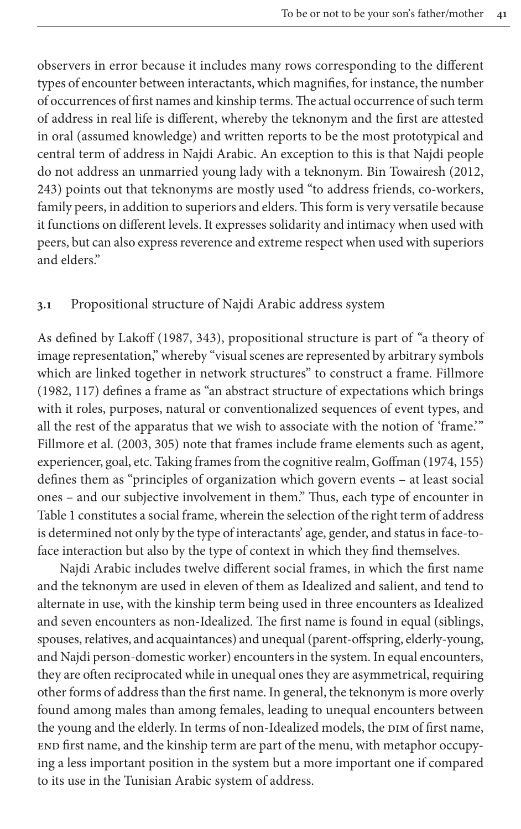observers in error because it includes many rows corresponding to the different types of encounter between interactants, which magnifies, for instance, the number of occurrences of first names and kinship terms. The actual occurrence of such term of address in real life is different, whereby the teknonym and the firs[t are a](#page-28-4)ttested in oral (assumed knowledge) and written reports to be the most prototypical and central term of address in Najdi Arabic. An exception to this is that Najdi people do not address an unmarried young lady with a teknonym. Bin Towairesh (2012, 243) points out that teknonyms are mostly used "to address friends, co-workers, family peers, in addition to superiors and elders. This form is very versatile because it functions on different levels. It expresses solidarity and intimacy when used with peers, but can also express reverence and extreme respect when used with superiors and elders."

# **3.1** Propositi[onal](#page-29-2) structure of Najdi Arabic address system

As defined by Lakoff (1987, 343), propositional structure is part of "a theory of image representation," whereby "visual scenes are represented by arbitrary symbols which are linked together in network structures" to construct a frame. Fillmore (1982, 1[17\) de](#page-27-0)fines a frame as "an abstract structure of expectations which brings with it roles, purposes, natural or conventionalized sequences o[f even](#page-28-17)t types, and all the rest of the apparatus that we wish to associate with the notion of 'frame.'" Fillmore et al. (2003, 305) note that frames include frame elements such as agent, [e](#page-8-0)xperiencer, goal, etc. Taking frames from the cognitive realm, Goffman (1974, 155) defines them as "principles of organization which govern events – at least social ones – and our subjective involvement in them." Thus, each type of encounter in Table 1 constitutes a social frame, wherein the selection of the right term of address is determined not only by the type of interactants' age, gender, and status in face-toface interaction but also by the type of context in which they find themselves.

Najdi Arabic includes twelve different social frames, in which the first name and the teknonym are used in eleven of them as Idealized and salient, and tend to alternate in use, with the kinship term being used in three encounters as Idealized and seven encounters as non-Idealized. The first name is found in equal (siblings, spouses, relatives, and acquaintances) and unequal (parent-offspring, elderly-young, and Najdi person-domestic worker) encounters in the system. In equal encounters, they are often reciprocated while in unequal ones they are asymmetrical, requiring other forms of address than the first name. In general, the teknonym is more overly found among males than among females, leading to unequal encounters between the young and the elderly. In terms of non-Idealized models, the DIM of first name, end first name, and the kinship term are part of the menu, with metaphor occupying a less important position in the system but a more important one if compared to its use in the Tunisian Arabic system of address.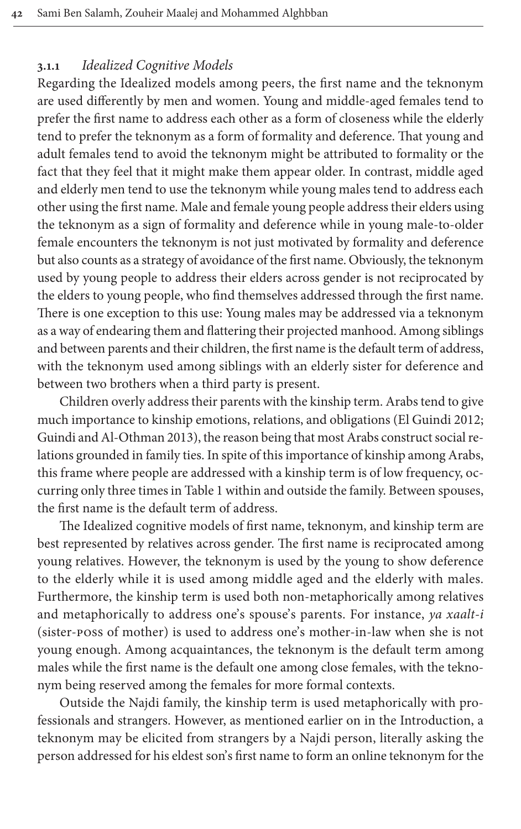#### **3.1.1** *Idealized Cognitive Models*

Regarding the Idealized models among peers, the first name and the teknonym are used differently by men and women. Young and middle-aged females tend to prefer the first name to address each other as a form of closeness while the elderly tend to prefer the teknonym as a form of formality and deference. That young and adult females tend to avoid the teknonym might be attributed to formality or the fact that they feel that it might make them appear older. In contrast, middle aged and elderly men tend to use the teknonym while young males tend to address each other using the first name. Male and female young people address their elders using the teknonym as a sign of formality and deference while in young male-to-older female encounters the teknonym is not just motivated by formality and deference but also counts as a strategy of avoidance of the first name. Obviously, the teknonym used by young people to address their elders across gender is not reciprocated by the elders to young people, who find themselves addressed through the first name. There is one exception to this use: Young males may be addressed via a teknonym as a way of endearing them and flattering their projected manhood. Among siblings and between parents and their children, the first name is the default term of address, with the teknonym used among siblings with an elderly s[ister for deferen](#page-28-18)ce and [between two brothers](#page-28-1) when a third party is present.

Children overly address their parents with the kinship term. Arabs tend to give much importance to kinship emotions, relations, and obligations (El Guindi 2012; Guindi and Al-Oth[man 201](#page-8-0)3), the reason being that most Arabs construct social relations grounded in family ties. In spite of this importance of kinship among Arabs, this frame where people are addressed with a kinship term is of low frequency, occurring only three times in Table 1 within and outside the family. Between spouses, the first name is the default term of address.

The Idealized cognitive models of first name, teknonym, and kinship term are best represented by relatives across gender. The first name is reciprocated among young relatives. However, the teknonym is used by the young to show deference to the elderly while it is used among middle aged and the elderly with males. Furthermore, the kinship term is used both non-metaphorically among relatives and metaphorically to address one's spouse's parents. For instance, *ya xaalt-i* (sister-poss of mother) is used to address one's mother-in-law when she is not young enough. Among acquaintances, the teknonym is the default term among males while the first name is the default one among close females, with the teknonym being reserved among the females for more formal contexts.

Outside the Najdi family, the kinship term is used metaphorically with professionals and strangers. However, as mentioned earlier on in the Introduction, a teknonym may be elicited from strangers by a Najdi person, literally asking the person addressed for his eldest son's first name to form an online teknonym for the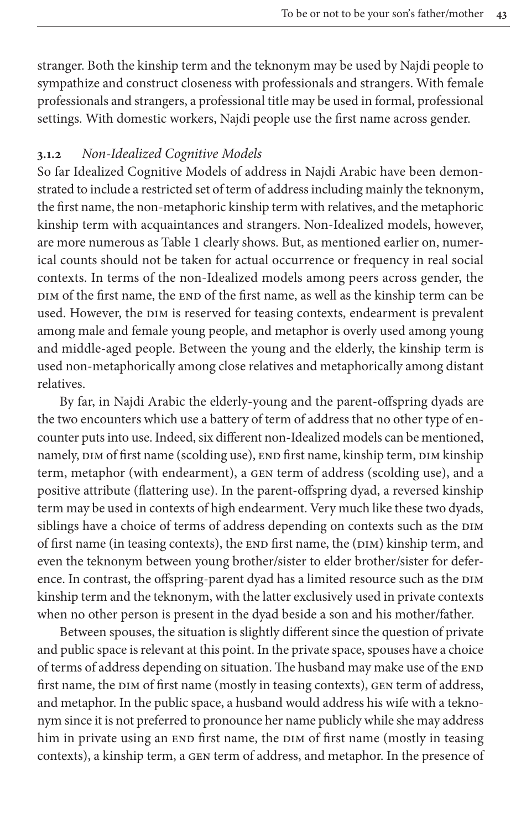stranger. Both the kinship term and the teknonym may be used by Najdi people to sympathize and construct closeness with professionals and strangers. With female professionals and strangers, a professional title may be used in formal, professional settings. With domestic workers, Najdi people use the first name across gender.

## **3.1.2** *Non-Idealized Cognitive Models*

So far Idealized Cognitive Models of address in Najdi Arabic have been demonstrated to inclu[de a restr](#page-8-0)icted set of term of address including mainly the teknonym, the first name, the non-metaphoric kinship term with relatives, and the metaphoric kinship term with acquaintances and strangers. Non-Idealized models, however, are more numerous as Table 1 clearly shows. But, as mentioned earlier on, numerical counts should not be taken for actual occurrence or frequency in real social contexts. In terms of the non-Idealized models among peers across gender, the DIM of the first name, the END of the first name, as well as the kinship term can be used. However, the DIM is reserved for teasing contexts, endearment is prevalent among male and female young people, and metaphor is overly used among young and middle-aged people. Between the young and the elderly, the kinship term is used non-metaphorically among close relatives and metaphorically among distant relatives.

By far, in Najdi Arabic the elderly-young and the parent-offspring dyads are the two encounters which use a battery of term of address that no other type of encounter puts into use. Indeed, six different non-Idealized models can be mentioned, namely, DIM of first name (scolding use), END first name, kinship term, DIM kinship term, metaphor (with endearment), a gen term of address (scolding use), and a positive attribute (flattering use). In the parent-offspring dyad, a reversed kinship term may be used in contexts of high endearment. Very much like these two dyads, siblings have a choice of terms of address depending on contexts such as the DIM of first name (in teasing contexts), the END first name, the (DIM) kinship term, and even the teknonym between young brother/sister to elder brother/sister for deference. In contrast, the offspring-parent dyad has a limited resource such as the DIM kinship term and the teknonym, with the latter exclusively used in private contexts when no other person is present in the dyad beside a son and his mother/father.

Between spouses, the situation is slightly different since the question of private and public space is relevant at this point. In the private space, spouses have a choice of terms of address depending on situation. The husband may make use of the END first name, the DIM of first name (mostly in teasing contexts), GEN term of address, and metaphor. In the public space, a husband would address his wife with a teknonym since it is not preferred to pronounce her name publicly while she may address him in private using an END first name, the DIM of first name (mostly in teasing contexts), a kinship term, a gen term of address, and metaphor. In the presence of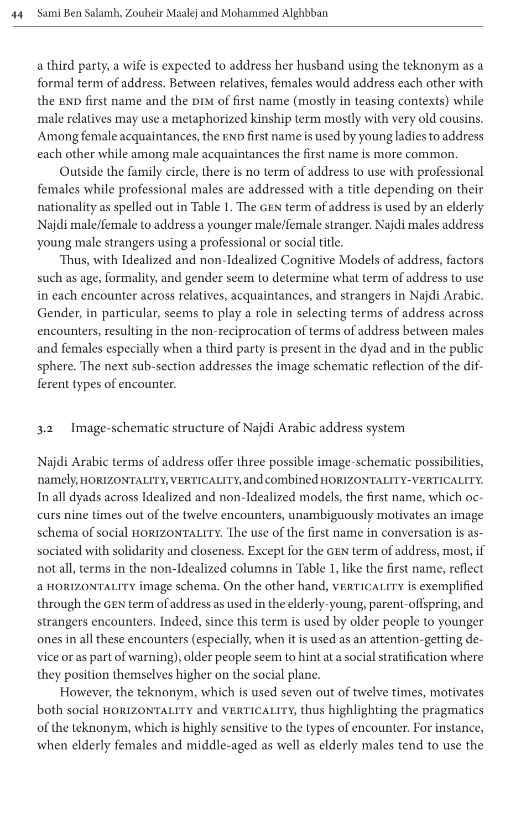a third party, a wife is expected to address her husband using the teknonym as a formal term of address. Between relatives, females would address each other with the END first name and the DIM of first name (mostly in teasing contexts) while male relatives may use a metaphorized kinship term mostly with very old cousins. Among female acquaintances, the END first name is used by young ladies to address each other while am[ong mal](#page-8-0)e acquaintances the first name is more common.

Outside the family circle, there is no term of address to use with professional females while professional males are addressed with a title depending on their nationality as spelled out in Table 1. The gen term of address is used by an elderly Najdi male/female to address a younger male/female stranger. Najdi males address young male strangers using a professional or social title.

Thus, with Idealized and non-Idealized Cognitive Models of address, factors such as age, formality, and gender seem to determine what term of address to use in each encounter across relatives, acquaintances, and strangers in Najdi Arabic. Gender, in particular, seems to play a role in selecting terms of address across encounters, resulting in the non-reciprocation of terms of address between males and females especially when a third party is present in the dyad and in the public sphere. The next sub-section addresses the image schematic reflection of the different types of encounter.

#### **3.2** Image-schematic structure of Najdi Arabic address system

Najdi Arabic terms of address offer three possible image-schematic possibilities, namely, HORIZONTALITY, VERTICALITY, and combined HORIZONTALITY-VERTICALITY. In all dyads across Idealized and non-Idealized models, the first name, which occurs nine times out of the twelve encou[nters, un](#page-8-0)ambiguously motivates an image schema of social HORIZONTALITY. The use of the first name in conversation is associated with solidarity and closeness. Except for the gen term of address, most, if not all, terms in the non-Idealized columns in Table 1, like the first name, reflect a HORIZONTALITY image schema. On the other hand, VERTICALITY is exemplified through the gen term of address as used in the elderly-young, parent-offspring, and strangers encounters. Indeed, since this term is used by older people to younger ones in all these encounters (especially, when it is used as an attention-getting device or as part of warning), older people seem to hint at a social stratification where they position themselves higher on the social plane.

However, the teknonym, which is used seven out of twelve times, motivates both social HORIZONTALITY and VERTICALITY, thus highlighting the pragmatics of the teknonym, which is highly sensitive to the types of encounter. For instance, when elderly females and middle-aged as well as elderly males tend to use the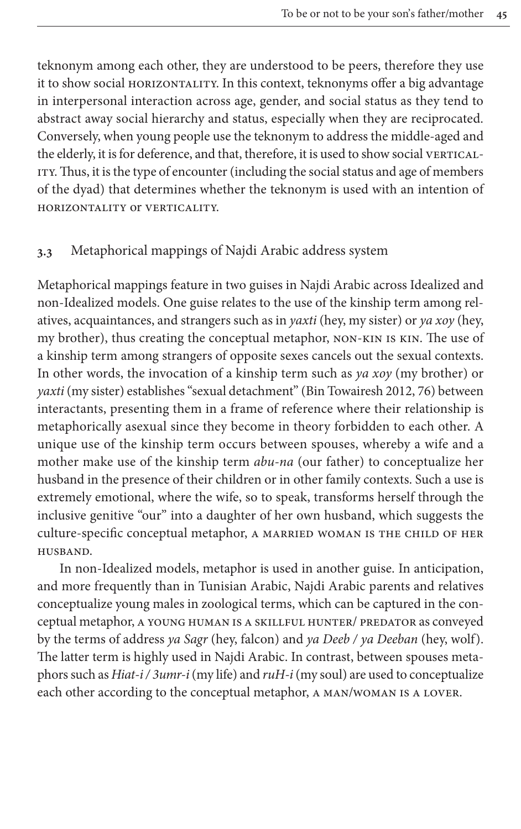teknonym among each other, they are understood to be peers, therefore they use it to show social HORIZONTALITY. In this context, teknonyms offer a big advantage in interpersonal interaction across age, gender, and social status as they tend to abstract away social hierarchy and status, especially when they are reciprocated. Conversely, when young people use the teknonym to address the middle-aged and the elderly, it is for deference, and that, therefore, it is used to show social VERTICAL-ITY. Thus, it is the type of encounter (including the social status and age of members of the dyad) that determines whether the teknonym is used with an intention of horizontality or verticality.

# **3.3** Metaphorical mappings of Najdi Arabic address system

Metaphorical mappings feature in two guises in Najdi Arabic across Idealized and non-Idealized models. One guise relates to the use of the kinship term among relatives, acquaintances, and strangers such as in *yaxti* (hey, my sister) or *ya xoy* (hey, my brother), thus creating the conceptua[l metaphor, non-kin](#page-28-4) is kin. The use of a kinship term among strangers of opposite sexes cancels out the sexual contexts. In other words, the invocation of a kinship term such as *ya xoy* (my brother) or *yaxti* (my sister) establishes "sexual detachment" (Bin Towairesh 2012, 76) between interactants, presenting them in a frame of reference where their relationship is metaphorically asexual since they become in theory forbidden to each other. A unique use of the kinship term occurs between spouses, whereby a wife and a mother make use of the kinship term *abu-na* (our father) to conceptualize her husband in the presence of their children or in other family contexts. Such a use is extremely emotional, where the wife, so to speak, transforms herself through the inclusive genitive "our" into a daughter of her own husband, which suggests the culture-specific conceptual metaphor, A MARRIED WOMAN IS THE CHILD OF HER husband.

In non-Idealized models, metaphor is used in another guise. In anticipation, and more frequently than in Tunisian Arabic, Najdi Arabic parents and relatives conceptualize young males in zoological terms, which can be captured in the conceptual metaphor, a YOUNG HUMAN IS A SKILLFUL HUNTER/ PREDATOR as conveyed by the terms of address *ya Sagr* (hey, falcon) and *ya Deeb / ya Deeban* (hey, wolf). The latter term is highly used in Najdi Arabic. In contrast, between spouses metaphors such as *Hiat-i / 3umr-i* (my life) and *ruH-i* (my soul) are used to conceptualize each other according to the conceptual metaphor, a man/woman is a lover.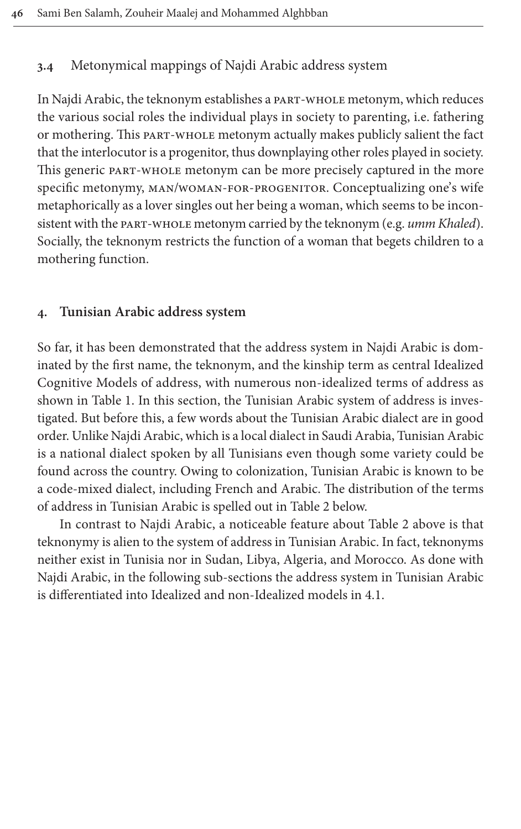# **3.4** Metonymical mappings of Najdi Arabic address system

In Najdi Arabic, the teknonym establishes a part-whole metonym, which reduces the various social roles the individual plays in society to parenting, i.e. fathering or mothering. This part-whole metonym actually makes publicly salient the fact that the interlocutor is a progenitor, thus downplaying other roles played in society. This generic part-whole metonym can be more precisely captured in the more specific metonymy, man/woman-for-progenitor. Conceptualizing one's wife metaphorically as a lover singles out her being a woman, which seems to be inconsistent with the part-whole metonym carried by the teknonym (e.g. *umm Khaled*). Socially, the teknonym restricts the function of a woman that begets children to a mothering function.

# <span id="page-17-0"></span>**4. Tunisian Arabic address system**

So [far, it h](#page-8-0)as been demonstrated that the address system in Najdi Arabic is dominated by the first name, the teknonym, and the kinship term as central Idealized Cognitive Models of address, with numerous non-idealized terms of address as shown in Table 1. In this section, the Tunisian Arabic system of address is investigated. But before this, a few words about the Tunisian Arabic dialect are in good order. Unlike Najdi Arabic, which is a local dialect in Saudi Arabia, Tunisian Arabic is a national dialect spoken by all Tun[isians e](#page-25-0)ven though some variety could be found across the country. Owing to colonization, Tu[nisian Ar](#page-25-0)abic is known to be a code-mixed dialect, including French and Arabic. The distribution of the terms of address in Tunisian Arabic is spelled out in Table 2 below.

In contrast to Najdi Arabic, a noticeable feature about Table 2 above is that teknonymy is alien to the system of address in Tunisi[an A](#page-21-0)rabic. In fact, teknonyms neither exist in Tunisia nor in Sudan, Libya, Algeria, and Morocco. As done with Najdi Arabic, in the following sub-sections the address system in Tunisian Arabic is differentiated into Idealized and non-Idealized models in 4.1.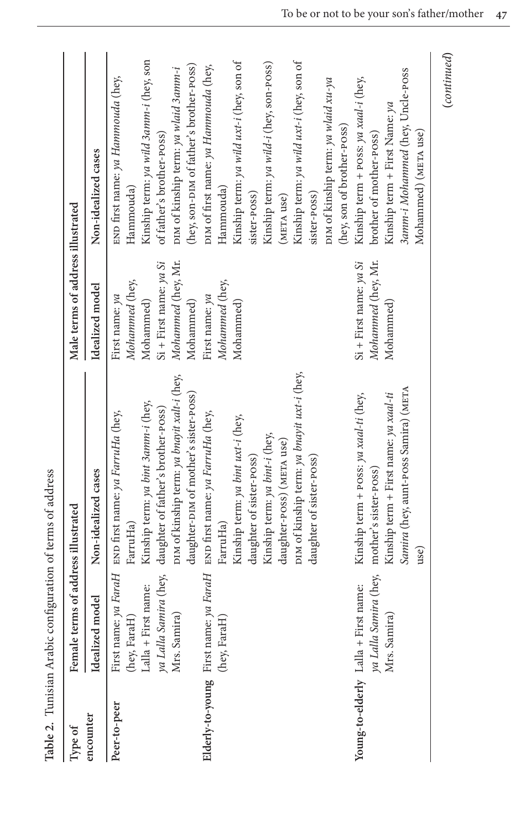| Type of                  | Female terms of address illustrated                                          |                                                                                                                                                                                                                                                       | Male terms of address illustrated                                                                            |                                                                                                                                                                                                                                                                           |
|--------------------------|------------------------------------------------------------------------------|-------------------------------------------------------------------------------------------------------------------------------------------------------------------------------------------------------------------------------------------------------|--------------------------------------------------------------------------------------------------------------|---------------------------------------------------------------------------------------------------------------------------------------------------------------------------------------------------------------------------------------------------------------------------|
| encounter                | Idealized model                                                              | Non-idealized cases                                                                                                                                                                                                                                   | Idealized model                                                                                              | Non-idealized cases                                                                                                                                                                                                                                                       |
| Peer-to-peer             | ya Lalla Samira (hey,<br>Lalla + First name:<br>Mrs. Samira)<br>(hey, FaraH) | DIM of kinship term: ya bnayit xalt-i (hey,<br>daughter-DIM of mother's sister-POSS)<br>Kinship term: ya bint 3amm-i (hey,<br>daughter of father's brother-poss)<br>First name: ya FaraH END first name: ya FarruHa (hey,<br>FarruHa)                 | Mohammed (hey, Mr.<br>$Si$ + First name: ya Si<br>Mohammed (hey,<br>First name: ya<br>Mohammed)<br>Mohammed) | Kinship term: ya wild 3anın-i (hey, son<br>(hey, son-DIM of father's brother-poss)<br>DIM of kinship term: ya wlaid 3amm-i<br>END first name: ya Hammouda (hey,<br>of father's brother-poss)<br>Hammouda)                                                                 |
|                          | Elderly-to-young First name: ya FaraH<br>(hey, FaraH)                        | DIM of kinship term: ya bnayit uxt-i (hey,<br>END first name: ya FarruHa (hey,<br>Kinship term: ya bint uxt-i (hey,<br>Kinship term: ya bint-i (hey,<br>daughter-poss) (META use)<br>daughter of sister-poss)<br>daughter of sister-POSS)<br>FarruHa) | Mohammed (hey,<br>First name: ya<br>Mohammed)                                                                | Kinship term: ya wild uxt-i (hey, son of<br>Kinship term: ya wild uxt-i (hey, son of<br>Kinship term: ya wild-i (hey, son-poss)<br>DIM of first name: ya Hammouda (hey,<br>DIM of kinship term: ya wlaid xu-ya<br>Hammouda)<br>sister-poss)<br>sister-poss)<br>(META use) |
| Young-to-elderly Lalla + | ya Lalla Samira (hey,<br>First name:<br>Mrs. Samira)                         | Samira (hey, aunt-poss Samira) (META<br>Kinship term + First name: ya xaal-ti<br>Kinship term + POSS: ya xaal-ti (hey,<br>mother's sister-poss)<br>use)                                                                                               | Mohammed (hey, Mr.<br>$Si$ + First name: $ya Si$<br>Mohammed)                                                | 3amm-i Mohammed (hey, Uncle-POSS<br>Kinship term + POSS: ya xaal-i (hey,<br>Kinship term + First Name: ya<br>(hey, son of brother-poss)<br>Mohammed) (META use)<br>brother of mother-poss)                                                                                |

Table 2. Tunisian Arabic configuration of terms of address **Table 2.** Tunisian Arabic configuration of terms of address **(***continued***)**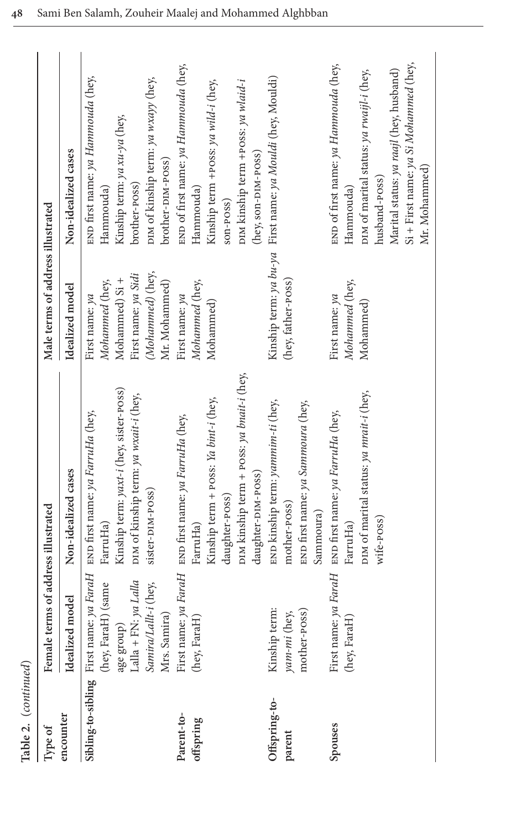| Type of       | Female terms of address illustrated       |                                                                                                                | Male terms of address illustrated       |                                                            |
|---------------|-------------------------------------------|----------------------------------------------------------------------------------------------------------------|-----------------------------------------|------------------------------------------------------------|
| encounter     | Idealized model                           | Non-idealized cases                                                                                            | Idealized model                         | Non-idealized cases                                        |
|               |                                           | Sibling-to-sibling First name: ya FaraH $\,$ END first name: ya FarruHa (hey, ferset) (same $\,$ FarruHa) $\,$ | Mohammed (hey,<br>First name: ya        | END first name: ya Hammouda (hey,<br>Hammouda)             |
|               | age group)<br>Lalla + FN: <i>ya Lalla</i> | Kinship term: yaxt-i (hey, sister-poss)                                                                        | Mohammed) Si +                          | Kinship term: ya xu-ya (hey,                               |
|               | Samira/Lallt-i (hey,                      | DIM of kinship term: ya wxait-i (hey,<br>sister-DIM-POSS)                                                      | (Mohammed) (hey,<br>First name: ya Sidi | DIM of kinship term: ya wxayy (hey,<br>brother-poss)       |
|               | Mrs. Samira)                              |                                                                                                                | Mr. Mohammed)                           | brother-DIM-POSS)                                          |
| Parent-to-    |                                           | First name: ya FaraH $\;$<br>END first name: ya FarruHa (hey, (hey, FaraH) $\;$ FarruHa)                       | First name: ya                          | END of first name: ya Hammouda (hey,                       |
| offspring     |                                           |                                                                                                                | Mohammed (hey,                          | Hammouda)                                                  |
|               |                                           | Kinship term + POSS: Ya bint-i (hey,                                                                           | Mohammed)                               | Kinship term +POSS: ya wild-i (hey,                        |
|               |                                           | daughter-poss)                                                                                                 |                                         | son-POSS)                                                  |
|               |                                           | DIM kinship term + POSS: ya bnait-i (hey,                                                                      |                                         | DIM kinship term +POSS: ya wlaid-i                         |
|               |                                           | daughter-DIM-POSS)                                                                                             |                                         | (hey, son-DIM-POSS)                                        |
| Offspring-to- | Kinship term:                             | END kinship term: yammim-ti (hey,                                                                              |                                         | Kinship term: ya bu-ya First name: ya Mouldi (hey, Mouldi) |
| parent        | yam-mi (hey,                              | mother-poss)                                                                                                   | (hey, father-poss)                      |                                                            |
|               | mother-poss)                              | END first name: ya Sammoura (hey,                                                                              |                                         |                                                            |
|               |                                           | Sammoura)                                                                                                      |                                         |                                                            |
| Spouses       | First name: ya FaraH                      | END first name: ya FarruHa (hey,                                                                               | First name: ya                          | END of first name: ya Hammouda (hey,                       |
|               | (hey, FaraH)                              | FarruHa)                                                                                                       | Mohammed (hey,                          | Hammouda)                                                  |
|               |                                           | DIM of marital status: ya mrait-i (hey,                                                                        | Mohammed)                               | DIM of marital status: ya rwaijl-i (hey,                   |
|               |                                           | wife-poss)                                                                                                     |                                         | husband-poss)                                              |
|               |                                           |                                                                                                                |                                         | Marital status: ya raajl (hey, husband)                    |
|               |                                           |                                                                                                                |                                         | Si + First name: ya Si Mohammed (hey,                      |
|               |                                           |                                                                                                                |                                         | Mr. Mohammed)                                              |

**Table 2.** (*continued*)

Table 2. (continued)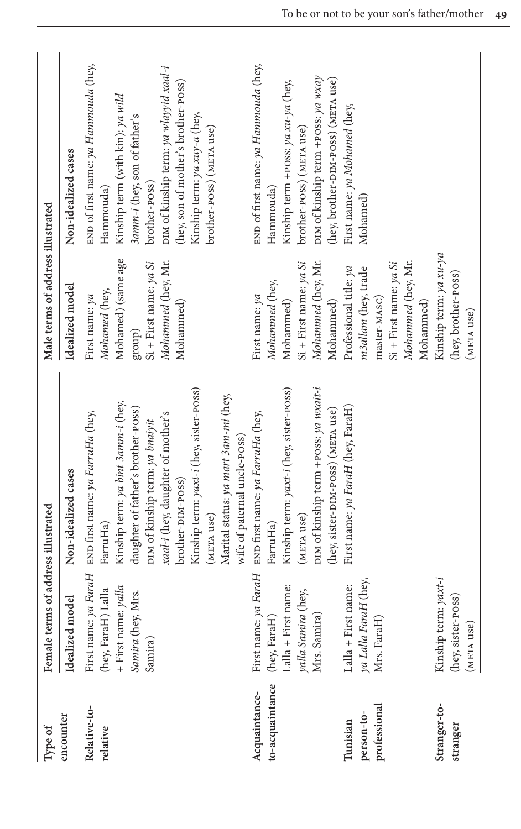| Type of                          | Female terms of address illustrated                                                                  |                                                                                                                                                                                                                                                                                                                         | Male terms of address illustrated                                                                                                       |                                                                                                                                                                                                                                                                                     |
|----------------------------------|------------------------------------------------------------------------------------------------------|-------------------------------------------------------------------------------------------------------------------------------------------------------------------------------------------------------------------------------------------------------------------------------------------------------------------------|-----------------------------------------------------------------------------------------------------------------------------------------|-------------------------------------------------------------------------------------------------------------------------------------------------------------------------------------------------------------------------------------------------------------------------------------|
| encounter                        | Idealized model                                                                                      | Non-idealized cases                                                                                                                                                                                                                                                                                                     | Idealized model                                                                                                                         | Non-idealized cases                                                                                                                                                                                                                                                                 |
| Relative-to-<br>relative         | First name: ya FaraH<br>+ First name: $y$ alla<br>(hey, FaraH) Lalla<br>Samira (hey, Mrs.<br>Samira) | Kinship term: yaxt-i (hey, sister-POSS)<br>Marital status: ya mart 3am-mi (hey,<br>Kinship term: ya bint 3 amm-i (hey,<br>daughter of father's brother-poss)<br>END first name: ya FarruHa (hey,<br>xaal-i (hey, daughter of mother's<br>DIM of kinship term: ya bnaiyit<br>brother-DIM-POSS)<br>(META use)<br>FarruHa) | Mohamed) (same age<br>Mohammed (hey, Mr.<br>$Si$ + First name: ya Si<br>Mohamed (hey,<br>First name: ya<br>Mohammed)<br>$\mbox{group})$ | END of first name: ya Hammouda (hey,<br>DIM of kinship term: ya wlayyid xaal-i<br>(hey, son of mother's brother-poss)<br>Kinship term (with kin): ya wild<br>Kinship term: ya xuy-a (hey,<br>3amm-i (hey, son of father's<br>brother-poss) (META use)<br>brother-poss)<br>Hammouda) |
|                                  |                                                                                                      | wife of paternal uncle-POSS)                                                                                                                                                                                                                                                                                            |                                                                                                                                         |                                                                                                                                                                                                                                                                                     |
| to-acquaintance<br>Acquaintance- | (hey, FaraH)                                                                                         | First name: ya FaraH END first name: ya FarruHa (hey,<br>FarruHa)                                                                                                                                                                                                                                                       | Mohammed (hey,<br>First name: ya                                                                                                        | END of first name: ya Hammouda (hey,<br>Hammouda)                                                                                                                                                                                                                                   |
|                                  | Lalla + First name:<br>yalla Samira (hey,                                                            | Kinship term: yaxt-i (hey, sister-POSS)<br>(META use)                                                                                                                                                                                                                                                                   | $Si$ + First name: ya Si<br>Mohammed)                                                                                                   | Kinship term +POSS: ya xu-ya (hey,<br>brother-poss) (META use)                                                                                                                                                                                                                      |
|                                  | Mrs. Samira)                                                                                         | DIM of kinship term +POSS: ya wxait-i<br>(hey, sister-DIM-POSS) (META use)                                                                                                                                                                                                                                              | Mohammed (hey, Mr.<br>Mohammed)                                                                                                         | DIM of kinship term +POSS: ya wxay<br>(hey, brother-DIM-POSS) (META use)                                                                                                                                                                                                            |
| Tunisian                         | Lalla + First name:                                                                                  | First name: ya FaraH (hey, FaraH)                                                                                                                                                                                                                                                                                       | Professional title: ya                                                                                                                  | First name: ya Mohamed (hey,                                                                                                                                                                                                                                                        |
| professional<br>person-to-       | ya Lalla FaraH (hey,<br>Mrs. FaraH)                                                                  |                                                                                                                                                                                                                                                                                                                         | m3allam (hey, trade<br>master-MASC)                                                                                                     | Mohamed)                                                                                                                                                                                                                                                                            |
|                                  |                                                                                                      |                                                                                                                                                                                                                                                                                                                         | Mohammed (hey, Mr.<br>$Si$ + First name: ya Si                                                                                          |                                                                                                                                                                                                                                                                                     |
|                                  |                                                                                                      |                                                                                                                                                                                                                                                                                                                         | Mohammed)                                                                                                                               |                                                                                                                                                                                                                                                                                     |
| Stranger-to-                     | Kinship term: yaxt-i                                                                                 |                                                                                                                                                                                                                                                                                                                         | Kinship term: ya xu-ya                                                                                                                  |                                                                                                                                                                                                                                                                                     |
| stranger                         | (hey, sister-poss)                                                                                   |                                                                                                                                                                                                                                                                                                                         | (hey, brother-poss)                                                                                                                     |                                                                                                                                                                                                                                                                                     |
|                                  | (META use)                                                                                           |                                                                                                                                                                                                                                                                                                                         | (META use)                                                                                                                              |                                                                                                                                                                                                                                                                                     |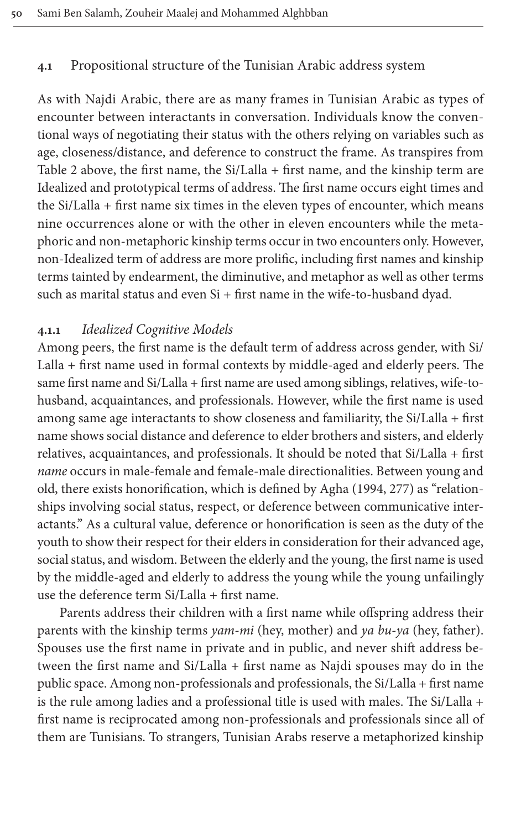### <span id="page-21-0"></span>**4.1** Propositional structure of the Tunisian Arabic address system

As with Najdi Arabic, there are as many frames in Tunisian Arabic as types of [e](#page-25-0)ncounter between interactants in conversation. Individuals know the conventional ways of negotiating their status with the others relying on variables such as age, closeness/distance, and deference to construct the frame. As transpires from Table 2 above, the first name, the Si/Lalla + first name, and the kinship term are Idealized and prototypical terms of address. The first name occurs eight times and the Si/Lalla + first name six times in the eleven types of encounter, which means nine occurrences alone or with the other in eleven encounters while the metaphoric and non-metaphoric kinship terms occur in two encounters only. However, non-Idealized term of address are more prolific, including first names and kinship terms tainted by endearment, the diminutive, and metaphor as well as other terms such as marital status and even Si + first name in the wife-to-husband dyad.

#### **4.1.1** *Idealized Cognitive Models*

Among peers, the first name is the default term of address across gender, with Si/ Lalla + first name used in formal contexts by middle-aged and elderly peers. The same first name and Si/Lalla + first name are used among siblings, relatives, wife-tohusband, acquaintances, and professionals. However, while the first name is used among same age interactants to show closeness and familiarity, the Si/Lalla + first name shows social distance and deference to elder b[rothe](#page-28-13)rs and sisters, and elderly relatives, acquaintances, and professionals. It should be noted that Si/Lalla + first *name* occurs in male-female and female-male directionalities. Between young and old, there exists honorification, which is defined by Agha (1994, 277) as "relationships involving social status, respect, or deference between communicative interactants." As a cultural value, deference or honorification is seen as the duty of the youth to show their respect for their elders in consideration for their advanced age, social status, and wisdom. Between the elderly and the young, the first name is used by the middle-aged and elderly to address the young while the young unfailingly use the deference term Si/Lalla + first name.

Parents address their children with a first name while offspring address their parents with the kinship terms *yam-mi* (hey, mother) and *ya bu-ya* (hey, father). Spouses use the first name in private and in public, and never shift address between the first name and Si/Lalla + first name as Najdi spouses may do in the public space. Among non-professionals and professionals, the Si/Lalla + first name is the rule among ladies and a professional title is used with males. The Si/Lalla + first name is reciprocated among non-professionals and professionals since all of them are Tunisians. To strangers, Tunisian Arabs reserve a metaphorized kinship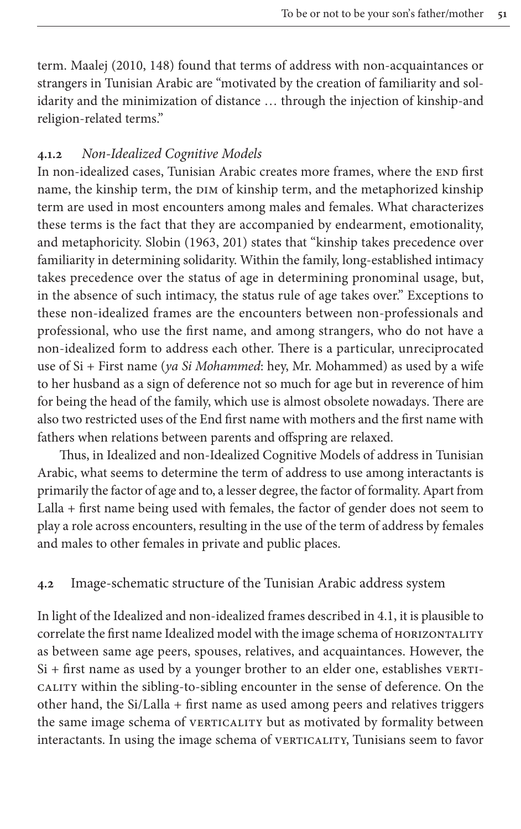term. Maalej (2010, 148) found that terms of address with non-acquaintances or strangers in Tunisian Arabic are "motivated by the creation of familiarity and solidarity and the minimization of distance … through the injection of kinship-and religion-related terms."

# **4.1.2** *Non-Idealized Cognitive Models*

In non-idealized cases, Tunisian Arabic creates more frames, where the END first name, the kinship te[rm, th](#page-29-21)e DIM of kinship term, and the metaphorized kinship term are used in most encounters among males and females. What characterizes these terms is the fact that they are accompanied by endearment, emotionality, and metaphoricity. Slobin (1963, 201) states that "kinship takes precedence over familiarity in determining solidarity. Within the family, long-established intimacy takes precedence over the status of age in determining pronominal usage, but, in the absence of such intimacy, the status rule of age takes over." Exceptions to these non-idealized frames are the encounters between non-professionals and professional, who use the first name, and among strangers, who do not have a non-idealized form to address each other. There is a particular, unreciprocated use of Si + First name (*ya Si Mohammed*: hey, Mr. Mohammed) as used by a wife to her husband as a sign of deference not so much for age but in reverence of him for being the head of the family, which use is almost obsolete nowadays. There are also two restricted uses of the End first name with mothers and the first name with fathers when relations between parents and offspring are relaxed.

Thus, in Idealized and non-Idealized Cognitive Models of address in Tunisian Arabic, what seems to determine the term of address to use among interactants is primarily the factor of age and to, a lesser degree, the factor of formality. Apart from Lalla + first name being used with females, the factor of gender does not seem to play a role across encounters, resulting in the use of the term of address by females and males to other females in private and public places.

### **4.2** Image-schematic structure of the Tunisian Ara[bic](#page-21-0) address system

In light of the Idealized and non-idealized frames described in 4.1, it is plausible to correlate the first name Idealized model with the image schema of HORIZONTALITY as between same age peers, spouses, relatives, and acquaintances. However, the Si + first name as used by a younger brother to an elder one, establishes VERTIcality within the sibling-to-sibling encounter in the sense of deference. On the other hand, the Si/Lalla + first name as used among peers and relatives triggers the same image schema of VERTICALITY but as motivated by formality between interactants. In using the image schema of VERTICALITY, Tunisians seem to favor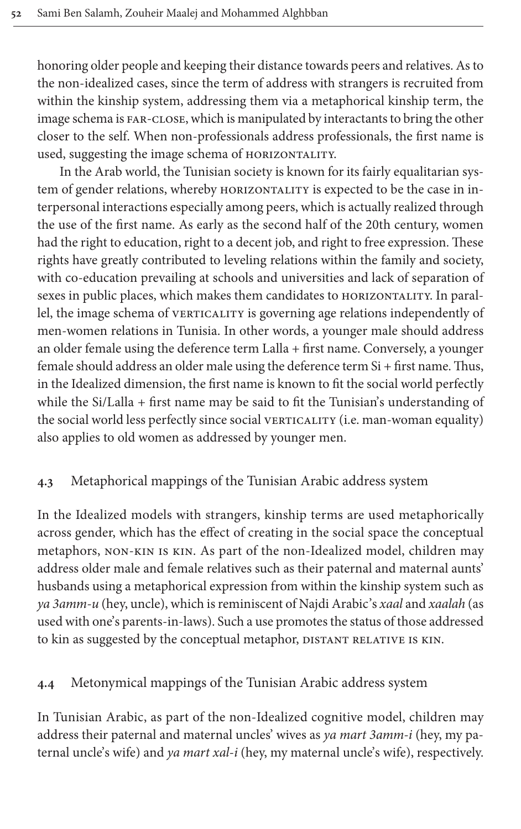honoring older people and keeping their distance towards peers and relatives. As to the non-idealized cases, since the term of address with strangers is recruited from within the kinship system, addressing them via a metaphorical kinship term, the image schema is far-close, which is manipulated by interactants to bring the other closer to the self. When non-professionals address professionals, the first name is used, suggesting the image schema of HORIZONTALITY.

In the Arab world, the Tunisian society is known for its fairly equalitarian system of gender relations, whereby HORIZONTALITY is expected to be the case in interpersonal interactions especially among peers, which is actually realized through the use of the first name. As early as the second half of the 20th century, women had the right to education, right to a decent job, and right to free expression. These rights have greatly contributed to leveling relations within the family and society, with co-education prevailing at schools and universities and lack of separation of sexes in public places, which makes them candidates to HORIZONTALITY. In parallel, the image schema of VERTICALITY is governing age relations independently of men-women relations in Tunisia. In other words, a younger male should address an older female using the deference term Lalla + first name. Conversely, a younger female should address an older male using the deference term Si + first name. Thus, in the Idealized dimension, the first name is known to fit the social world perfectly while the Si/Lalla + first name may be said to fit the Tunisian's understanding of the social world less perfectly since social VERTICALITY (i.e. man-woman equality) also applies to old women as addressed by younger men.

# **4.3** Metaphorical mappings of the Tunisian Arabic address system

In the Idealized models with strangers, kinship terms are used metaphorically across gender, which has the effect of creating in the social space the conceptual metaphors, non-kin is kin. As part of the non-Idealized model, children may address older male and female relatives such as their paternal and maternal aunts' husbands using a metaphorical expression from within the kinship system such as *ya 3amm-u* (hey, uncle), which is reminiscent of Najdi Arabic's *xaal* and *xaalah* (as used with one's parents-in-laws). Such a use promotes the status of those addressed to kin as suggested by the conceptual metaphor, DISTANT RELATIVE IS KIN.

# **4.4** Metonymical mappings of the Tunisian Arabic address system

In Tunisian Arabic, as part of the non-Idealized cognitive model, children may address their paternal and maternal uncles' wives as *ya mart 3amm-i* (hey, my paternal uncle's wife) and *ya mart xal-i* (hey, my maternal uncle's wife), respectively.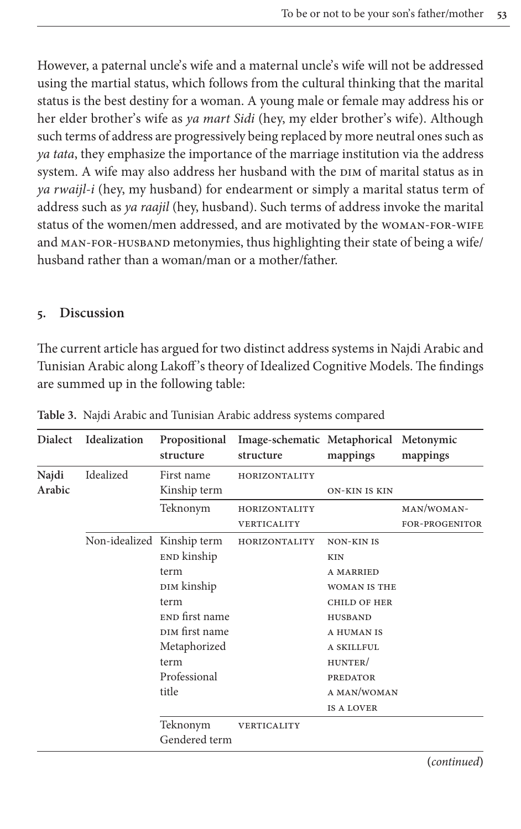However, a paternal uncle's wife and a maternal uncle's wife will not be addressed using the martial status, which follows from the cultural thinking that the marital status is the best destiny for a woman. A young male or female may address his or her elder brother's wife as *ya mart Sidi* (hey, my elder brother's wife). Although such terms of address are progressively being replaced by more neutral ones such as *ya tata*, they emphasize the importance of the marriage institution via the address system. A wife may also address her husband with the DIM of marital status as in *ya rwaijl-i* (hey, my husband) for endearment or simply a marital status term of address such as *ya raajil* (hey, husband). Such terms of address invoke the marital status of the women/men addressed, and are motivated by the WOMAN-FOR-WIFE and man-for-husband metonymies, thus highlighting their state of being a wife/ husband rather than a woman/man or a mother/father.

## **5. Discussion**

The current article has argued for two distinct address systems in Najdi Arabic and Tunisian Arabic along Lakoff 's theory of Idealized Cognitive Models. The findings are summed up in the following table:

| <b>Dialect</b>  | Idealization               | Propositional<br>structure | Image-schematic Metaphorical Metonymic<br>structure | mappings             | mappings              |
|-----------------|----------------------------|----------------------------|-----------------------------------------------------|----------------------|-----------------------|
| Najdi<br>Arabic | Idealized                  | First name                 | HORIZONTALITY                                       |                      |                       |
|                 |                            | Kinship term               |                                                     | <b>ON-KIN IS KIN</b> |                       |
|                 |                            | Teknonym                   | HORIZONTALITY                                       |                      | MAN/WOMAN-            |
|                 |                            |                            | VERTICALITY                                         |                      | <b>FOR-PROGENITOR</b> |
|                 | Non-idealized Kinship term |                            | HORIZONTALITY                                       | <b>NON-KIN IS</b>    |                       |
|                 |                            | END kinship                |                                                     | <b>KIN</b>           |                       |
|                 |                            | term                       |                                                     | <b>A MARRIED</b>     |                       |
|                 |                            | DIM kinship                |                                                     | <b>WOMAN IS THE</b>  |                       |
|                 |                            | term                       |                                                     | <b>CHILD OF HER</b>  |                       |
|                 |                            | END first name             |                                                     | <b>HUSBAND</b>       |                       |
|                 |                            | DIM first name             |                                                     | A HUMAN IS           |                       |
|                 |                            | Metaphorized               |                                                     | A SKILLFUL           |                       |
|                 |                            | term                       |                                                     | HUNTER/              |                       |
|                 |                            | Professional               |                                                     | <b>PREDATOR</b>      |                       |
|                 |                            | title                      |                                                     | A MAN/WOMAN          |                       |
|                 |                            |                            |                                                     | <b>IS A LOVER</b>    |                       |
|                 |                            | Teknonym                   | VERTICALITY                                         |                      |                       |
|                 |                            | Gendered term              |                                                     |                      |                       |

**Table 3.** Najdi Arabic and Tunisian Arabic address systems compared

**(***continued***)**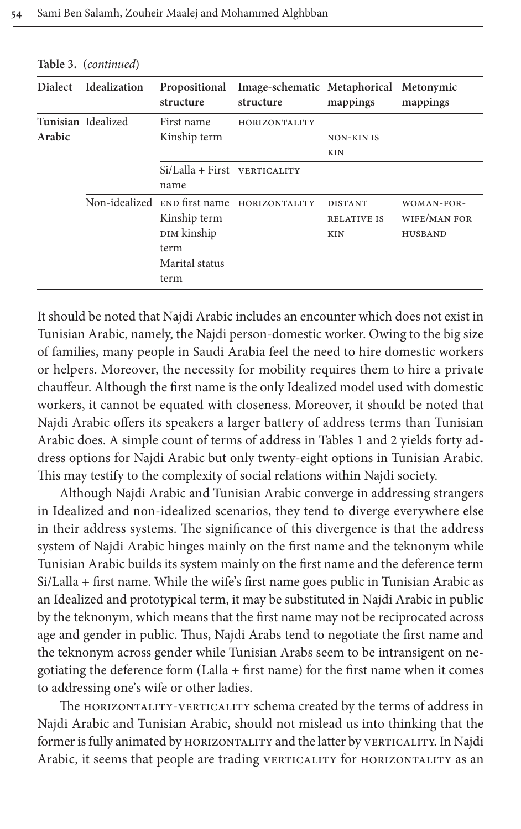| <b>Dialect</b> | Idealization       | Propositional<br>structure                                    | Image-schematic Metaphorical Metonymic<br>structure | mappings                                           | mappings                                     |
|----------------|--------------------|---------------------------------------------------------------|-----------------------------------------------------|----------------------------------------------------|----------------------------------------------|
| Arabic         | Tunisian Idealized | First name<br>Kinship term                                    | HORIZONTALITY                                       | <b>NON-KIN IS</b><br><b>KIN</b>                    |                                              |
|                |                    | $Si/Lalla + First VERTICALITY$<br>name                        |                                                     |                                                    |                                              |
|                |                    | Kinship term<br>DIM kinship<br>term<br>Marital status<br>term | Non-idealized END first name HORIZONTALITY          | <b>DISTANT</b><br><b>RELATIVE IS</b><br><b>KIN</b> | WOMAN-FOR-<br>WIFE/MAN FOR<br><b>HUSBAND</b> |

<span id="page-25-0"></span>**Table 3.** (*continued*)

It should be noted that Najdi Arabic includes an encounter which does not exist in Tunisian Arabic, namely, the Najdi person-domestic worker. Owing to the big size of families, many people in Saudi Arabia feel the need to hire domestic workers or helpers. Moreover, the necessity for mobility requires them to hire a private chauffeur. Although the first name is the onl[y Idealize](#page-8-0)d m[od](#page-25-0)el used with domestic workers, it cannot be equated with closeness. Moreover, it should be noted that Najdi Arabic offers its speakers a larger battery of address terms than Tunisian Arabic does. A simple count of terms of address in Tables 1 and 2 yields forty address options for Najdi Arabic but only twenty-eight options in Tunisian Arabic. This may testify to the complexity of social relations within Najdi society.

Although Najdi Arabic and Tunisian Arabic converge in addressing strangers in Idealized and non-idealized scenarios, they tend to diverge everywhere else in their address systems. The significance of this divergence is that the address system of Najdi Arabic hinges mainly on the first name and the teknonym while Tunisian Arabic builds its system mainly on the first name and the deference term Si/Lalla + first name. While the wife's first name goes public in Tunisian Arabic as an Idealized and prototypical term, it may be substituted in Najdi Arabic in public by the teknonym, which means that the first name may not be reciprocated across age and gender in public. Thus, Najdi Arabs tend to negotiate the first name and the teknonym across gender while Tunisian Arabs seem to be intransigent on negotiating the deference form  $(Lalla + first name)$  for the first name when it comes to addressing one's wife or other ladies.

The HORIZONTALITY-VERTICALITY schema created by the terms of address in Najdi Arabic and Tunisian Arabic, should not mislead us into thinking that the former is fully animated by HORIZONTALITY and the latter by VERTICALITY. In Najdi Arabic, it seems that people are trading VERTICALITY for HORIZONTALITY as an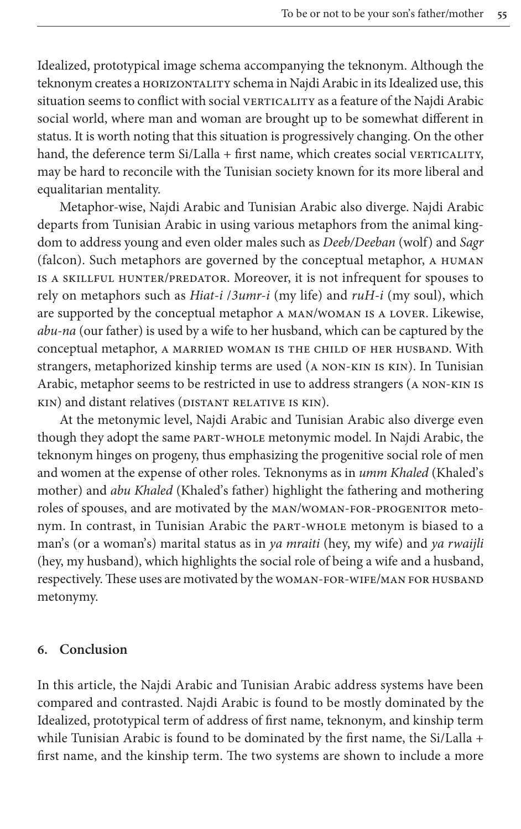Idealized, prototypical image schema accompanying the teknonym. Although the teknonym creates a HORIZONTALITY schema in Najdi Arabic in its Idealized use, this situation seems to conflict with social VERTICALITY as a feature of the Najdi Arabic social world, where man and woman are brought up to be somewhat different in status. It is worth noting that this situation is progressively changing. On the other hand, the deference term  $Si/Lalla + first$  name, which creates social verticality, may be hard to reconcile with the Tunisian society known for its more liberal and equalitarian mentality.

Metaphor-wise, Najdi Arabic and Tunisian Arabic also diverge. Najdi Arabic departs from Tunisian Arabic in using various metaphors from the animal kingdom to address young and even older males such as *Deeb/Deeban* (wolf) and *Sagr* (falcon). Such metaphors are governed by the conceptual metaphor, a human is a skillful hunter/predator. Moreover, it is not infrequent for spouses to rely on metaphors such as *Hiat-i* /*3umr-i* (my life) and *ruH-i* (my soul), which are supported by the conceptual metaphor a man/woman is a lover. Likewise, *abu-na* (our father) is used by a wife to her husband, which can be captured by the conceptual metaphor, a married woman is the child of her husband. With strangers, metaphorized kinship terms are used (a non-kin is kin). In Tunisian Arabic, metaphor seems to be restricted in use to address strangers (a non-kin is kin) and distant relatives (DISTANT RELATIVE IS KIN).

At the metonymic level, Najdi Arabic and Tunisian Arabic also diverge even though they adopt the same part-whole metonymic model. In Najdi Arabic, the teknonym hinges on progeny, thus emphasizing the progenitive social role of men and women at the expense of other roles. Teknonyms as in *umm Khaled* (Khaled's mother) and *abu Khaled* (Khaled's father) highlight the fathering and mothering roles of spouses, and are motivated by the man/woman-for-progenitor metonym. In contrast, in Tunisian Arabic the part-whole metonym is biased to a man's (or a woman's) marital status as in *ya mraiti* (hey, my wife) and *ya rwaijli* (hey, my husband), which highlights the social role of being a wife and a husband, respectively. These uses are motivated by the woman-for-wife/man for husband metonymy.

#### **6. Conclusion**

In this article, the Najdi Arabic and Tunisian Arabic address systems have been compared and contrasted. Najdi Arabic is found to be mostly dominated by the Idealized, prototypical term of address of first name, teknonym, and kinship term while Tunisian Arabic is found to be dominated by the first name, the Si/Lalla + first name, and the kinship term. The two systems are shown to include a more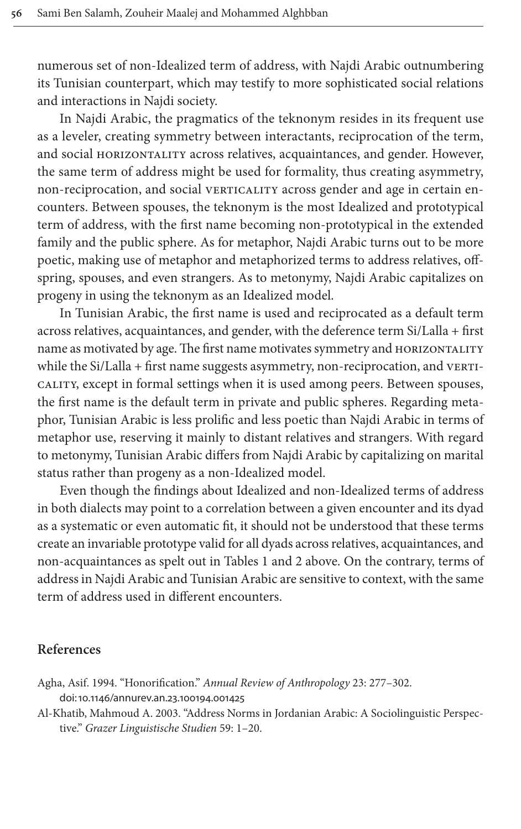numerous set of non-Idealized term of address, with Najdi Arabic outnumbering its Tunisian counterpart, which may testify to more sophisticated social relations and interactions in Najdi society.

In Najdi Arabic, the pragmatics of the teknonym resides in its frequent use as a leveler, creating symmetry between interactants, reciprocation of the term, and social HORIZONTALITY across relatives, acquaintances, and gender. However, the same term of address might be used for formality, thus creating asymmetry, non-reciprocation, and social vERTICALITY across gender and age in certain encounters. Between spouses, the teknonym is the most Idealized and prototypical term of address, with the first name becoming non-prototypical in the extended family and the public sphere. As for metaphor, Najdi Arabic turns out to be more poetic, making use of metaphor and metaphorized terms to address relatives, offspring, spouses, and even strangers. As to metonymy, Najdi Arabic capitalizes on progeny in using the teknonym as an Idealized model.

In Tunisian Arabic, the first name is used and reciprocated as a default term across relatives, acquaintances, and gender, with the deference term Si/Lalla + first name as motivated by age. The first name motivates symmetry and HORIZONTALITY while the Si/Lalla + first name suggests asymmetry, non-reciprocation, and VERTIcality, except in formal settings when it is used among peers. Between spouses, the first name is the default term in private and public spheres. Regarding metaphor, Tunisian Arabic is less prolific and less poetic than Najdi Arabic in terms of metaphor use, reserving it mainly to distant relatives and strangers. With regard to metonymy, Tunisian Arabic differs from Najdi Arabic by capitalizing on marital status rather than progeny as a non-Idealized model.

Even though the findings about Idealized and non-Idealized terms of address in both dialects may point t[o a corre](#page-8-0)lati[on](#page-25-0) between a given encounter and its dyad as a systematic or even automatic fit, it should not be understood that these terms create an invariable prototype valid for all dyads across relatives, acquaintances, and non-acquaintances as spelt out in Tables 1 and 2 above. On the contrary, terms of address in Najdi Arabic and Tunisian Arabic are sensitive to context, with the same term of address used in different encounters.

#### **[References](http://dx.doi.org/ doi: 10.1146/annurev.an.23.100194.001425)**

- <span id="page-27-0"></span>Agha, Asif. 1994. "Honorification." *Annual Review of Anthropology* 23: 277–302. doi:10.1146/annurev.an.23.100194.001425
- Al-Khatib, Mahmoud A. 2003. "Address Norms in Jordanian Arabic: A Sociolinguistic Perspective." *Grazer Linguistische Studien* 59: 1–20.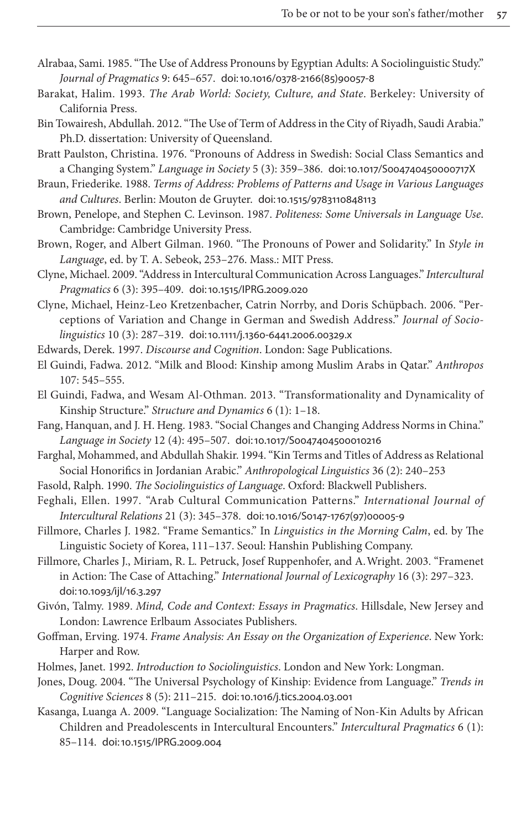- <span id="page-28-15"></span><span id="page-28-2"></span>Alrabaa, Sami. 1985. "The Use of Address Pronouns by Egyptian Adults: A Sociolinguistic Study." *Journal of Pragmatics* 9: 645–657. doi:10.1016/0378-2166(85)90057-8
- <span id="page-28-4"></span>Barakat, Halim. 1993. *The Arab World: Society, Culture, and State*. Berkeley: University of California Press.
- <span id="page-28-9"></span>Bin Towairesh, Abdullah. 2012. "The Use of Term of [Address in the City of Riyadh, Saud](http://dx.doi.org/ doi: 10.1017/S004740450000717X)i Arabia." Ph.D. dissertation: University of Queensland.
- <span id="page-28-14"></span>Bratt Paulston, Christina. 1976. "Pro[nouns of Address in Swedis](http://dx.doi.org/ doi: 10.1515/9783110848113)h: Social Class Semantics and a Changing System." *Language in Society* 5 (3): 359–386. doi:10.1017/S004740450000717X
- Braun, Friederike. 1988. *Terms of Address: Problems of Patterns and Usage in Various Languages and Cultures*. Berlin: Mouton de Gruyter. doi:10.1515/9783110848113
- <span id="page-28-0"></span>Brown, Penelope, and Stephen C. Levinson. 1987. *Politeness: Some Universals in Language Use*. Cambridge: Cambridge University Press.
- <span id="page-28-11"></span>Brown, Roger, and Al[bert Gilman. 1960. "The Pr](http://dx.doi.org/ doi: 10.1515/IPRG.2009.020)onouns of Power and Solidarity." In *Style in Language*, ed. by T. A. Sebeok, 253–276. Mass.: MIT Press.
- <span id="page-28-10"></span>Clyne, Michael. 2009. "Address in Intercultural Communication Across Languages." *Intercultural Pragmatics* 6 (3): 395–409. [doi:10.1515/IPRG.2009.020](http://dx.doi.org/ doi: 10.1111/j.1360-6441.2006.00329.x)
- <span id="page-28-18"></span>Clyne, Michael, Heinz-Leo Kretzenbacher, Catrin Norrby, and Doris Schüpbach. 2006. "Perceptions of Variation and Change in German and Swedish Address." *Journal of Sociolinguistics* 10 (3): 287–319. doi:10.1111/j.1360-6441.2006.00329.x
- <span id="page-28-1"></span>Edwards, Derek. 1997. *Discourse and Cognition*. London: Sage Publications.
- El Guindi, Fadwa. 2012. "Milk and Blood: Kinship among Muslim Arabs in Qatar." *Anthropos* 107: 545–555.
- <span id="page-28-8"></span>El Guindi, Fadwa, and Wesam [Al-Othman. 2013. "Transformati](http://dx.doi.org/ doi: 10.1017/S0047404500010216)onality and Dynamicality of Kinship Structure." *Structure and Dynamics* 6 (1): 1–18.
- <span id="page-28-13"></span>Fang, Hanquan, and J. H. Heng. 1983. "Social Changes and Changing Address Norms in China." *Language in Society* 12 (4): 495–507. doi:10.1017/S0047404500010216
- <span id="page-28-16"></span><span id="page-28-6"></span>Farghal, Mohammed, and Abdullah Shakir. 1994. "Kin Terms and Titles of Address as Relational Social Honorifics in Jordanian Arabic." *[Anthropological Linguistics](http://dx.doi.org/ doi: 10.1016/S0147-1767(97)00005-9)* 36 (2): 240–253
- Fasold, Ralph. 1990. *The Sociolinguistics of Language*. Oxford: Blackwell Publishers.
- Feghali, Ellen. 1997. "Arab Cultural Communication Patterns." *International Journal of Intercultural Relations* 21 (3): 345–378. doi:10.1016/S0147-1767(97)00005-9
- Fillmore, Charles J. 1982. "Frame Semantics." In *Linguistics in the Morning Calm*, ed. by The [Linguistic Soc](http://dx.doi.org/ doi: 10.1093/ijl/16.3.297)iety of Korea, 111–137. Seoul: Hanshin Publishing Company.
- <span id="page-28-5"></span>Fillmore, Charles J., Miriam, R. L. Petruck, Josef Ruppenhofer, and A. Wright. 2003. "Framenet in Action: The Case of Attaching." *International Journal of Lexicography* 16 (3): 297–323. doi:10.1093/ijl/16.3.297
- <span id="page-28-17"></span>Givón, Talmy. 1989. *Mind, Code and Context: Essays in Pragmatics*. Hillsdale, New Jersey and London: Lawrence Erlbaum Associates Publishers.
- <span id="page-28-7"></span><span id="page-28-3"></span>Goffman, Erving. 1974. *Fram[e Analysis: An Essay on the Org](http://dx.doi.org/ doi: 10.1016/j.tics.2004.03.001)anization of Experience*. New York: Harper and Row.
- <span id="page-28-12"></span>Holmes, Janet. 1992. *Introduction to Sociolinguistics*. London and New York: Longman.
- Jones, Doug. 2004. "The Universal Psychology of Kinship: Evidence from Language." *Trends in [Cognitive Sciences](http://dx.doi.org/ doi: 10.1515/IPRG.2009.004)* 8 (5): 211–215. doi:10.1016/j.tics.2004.03.001
- Kasanga, Luanga A. 2009. "Language Socialization: The Naming of Non-Kin Adults by African Children and Preadolescents in Intercultural Encounters." *Intercultural Pragmatics* 6 (1): 85–114. doi:10.1515/IPRG.2009.004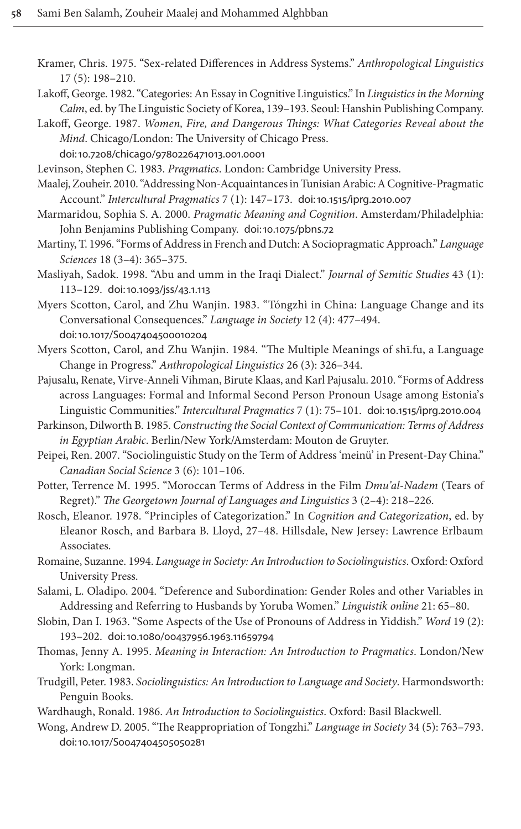- <span id="page-29-15"></span><span id="page-29-4"></span>Kramer, Chris. 1975. "Sex-related Differences in Address Systems." *Anthropological Linguistics* 17 (5): 198–210.
- <span id="page-29-2"></span>Lakoff, George. 1982. "Categories: An Essay in Cognitive Linguistics." In *Linguistics in the Morning Calm*[, ed. by The Linguistic Society o](http://dx.doi.org/ doi: 10.7208/chicago/9780226471013.001.0001)f Korea, 139–193. Seoul: Hanshin Publishing Company.
- <span id="page-29-8"></span><span id="page-29-1"></span>Lakoff, George. 1987. *Women, Fire, and Dangerous Things: What Categories Reveal about the Mind*. Chicago/London: The University o[f Chicago Press.](http://dx.doi.org/ doi: 10.1515/iprg.2010.007) doi:10.7208/chicago/9780226471013.001.0001

<span id="page-29-9"></span>Levinson, Stephen C. 1983. *Pragmatics*. London: Cambridge University Press.

- Maalej, Zouheir. 2010. "Addressing [Non-Acquaintances in](http://dx.doi.org/ doi: 10.1075/pbns.72) Tunisian Arabic: A Cognitive-Pragmatic Account." *Intercultural Pragmatics* 7 (1): 147–173. doi:10.1515/iprg.2010.007
- <span id="page-29-0"></span>Marmaridou, Sophia S. A. 2000. *Pragmatic Meaning and Cognition*. Amsterdam/Philadelphia: John Benjamins Publishing Company. doi:10.1075/pbns.72
- <span id="page-29-19"></span>Marti[ny, T. 1996. "Forms of Ad](http://dx.doi.org/ doi: 10.1093/jss/43.1.113)dress in French and Dutch: A Sociopragmatic Approach." *Language Sciences* 18 (3–4): 365–375.
- <span id="page-29-10"></span>Masliyah, Sadok. 1998. "Abu and umm in the Iraqi Dialect." *Journal of Semitic Studies* 43 (1): 113–129. [doi:10.1093/jss](http://dx.doi.org/ doi: 10.1017/S0047404500010204)/43.1.113
- <span id="page-29-11"></span>Myers Scotton, Carol, and Zhu Wanjin. 1983. "Tóngzhì in China: Language Change and its Conversational Consequences." *Language in Society* 12 (4): 477–494. doi:10.1017/S0047404500010204
- <span id="page-29-16"></span>Myers Scotton, Carol, and Zhu Wanjin. 1984. "The Multiple Meanings of shī.fu, a Language Change in Progress." *Anthropological Linguistics* 26 (3): [326–344.](http://dx.doi.org/ doi: 10.1515/iprg.2010.004)
- <span id="page-29-20"></span>Pajusalu, Renate, Virve-Anneli Vihman, Birute Klaas, and Karl Pajusalu. 2010. "Forms of Address across Languages: Formal and Informal Second Person Pronoun Usage among Estonia's Linguistic Communities." *Intercultural Pragmatics* 7 (1): 75–101. doi:10.1515/iprg.2010.004
- <span id="page-29-13"></span>Parkinson, Dilworth B. 1985. *Constructing the Social Context of Communication: Terms of Address in Egyptian Arabic*. Berlin/New York/Amsterdam: Mouton de Gruyter.
- <span id="page-29-18"></span>Peipei, Ren. 2007. "Sociolinguistic Study on the Term of Address 'meinü' in Present-Day China." *Canadian Social Science* 3 (6): 101–106.
- <span id="page-29-3"></span>Potter, Terrence M. 1995. "Moroccan Terms of Address in the Film *Dmu'al-Nadem* (Tears of Regret)." *The Georgetown Journal of Languages and Linguistics* 3 (2–4): 218–226.
- <span id="page-29-7"></span>Rosch, Eleanor. 1978. "Principles of Categorization." In *Cognition and Categorization*, ed. by Eleanor Rosch, and Barbara B. Lloyd, 27–48. Hillsdale, New Jersey: Lawrence Erlbaum Associates.
- <span id="page-29-17"></span>Romaine, Suzanne. 1994. *Language in Society: An Introduction to Sociolinguistics*. Oxford: Oxford University Press.
- <span id="page-29-21"></span>Sala[mi, L. Oladipo. 2004. "Deference and S](http://dx.doi.org/ doi: 10.1080/00437956.1963.11659794)ubordination: Gender Roles and other Variables in Addressing and Referring to Husbands by Yoruba Women." *Linguistik online* 21: 65–80.
- <span id="page-29-14"></span>Slobin, Dan I. 1963. "Some Aspects of the Use of Pronouns of Address in Yiddish." *Word* 19 (2): 193–202. doi:10.1080/00437956.1963.11659794
- <span id="page-29-5"></span>Thomas, Jenny A. 1995. *Meaning in Interaction: An Introduction to Pragmatics*. London/New York: Longman.
- <span id="page-29-12"></span><span id="page-29-6"></span>Trudgill, Peter. 1983. *Sociolinguistics: An Introduction to Language and Society*. Harmondsworth: [Penguin Books.](http://dx.doi.org/ doi: 10.1017/S0047404505050281)
- Wardhaugh, Ronald. 1986. *An Introduction to Sociolinguistics*. Oxford: Basil Blackwell.
- Wong, Andrew D. 2005. "The Reappropriation of Tongzhi." *Language in Society* 34 (5): 763–793. doi:10.1017/S0047404505050281